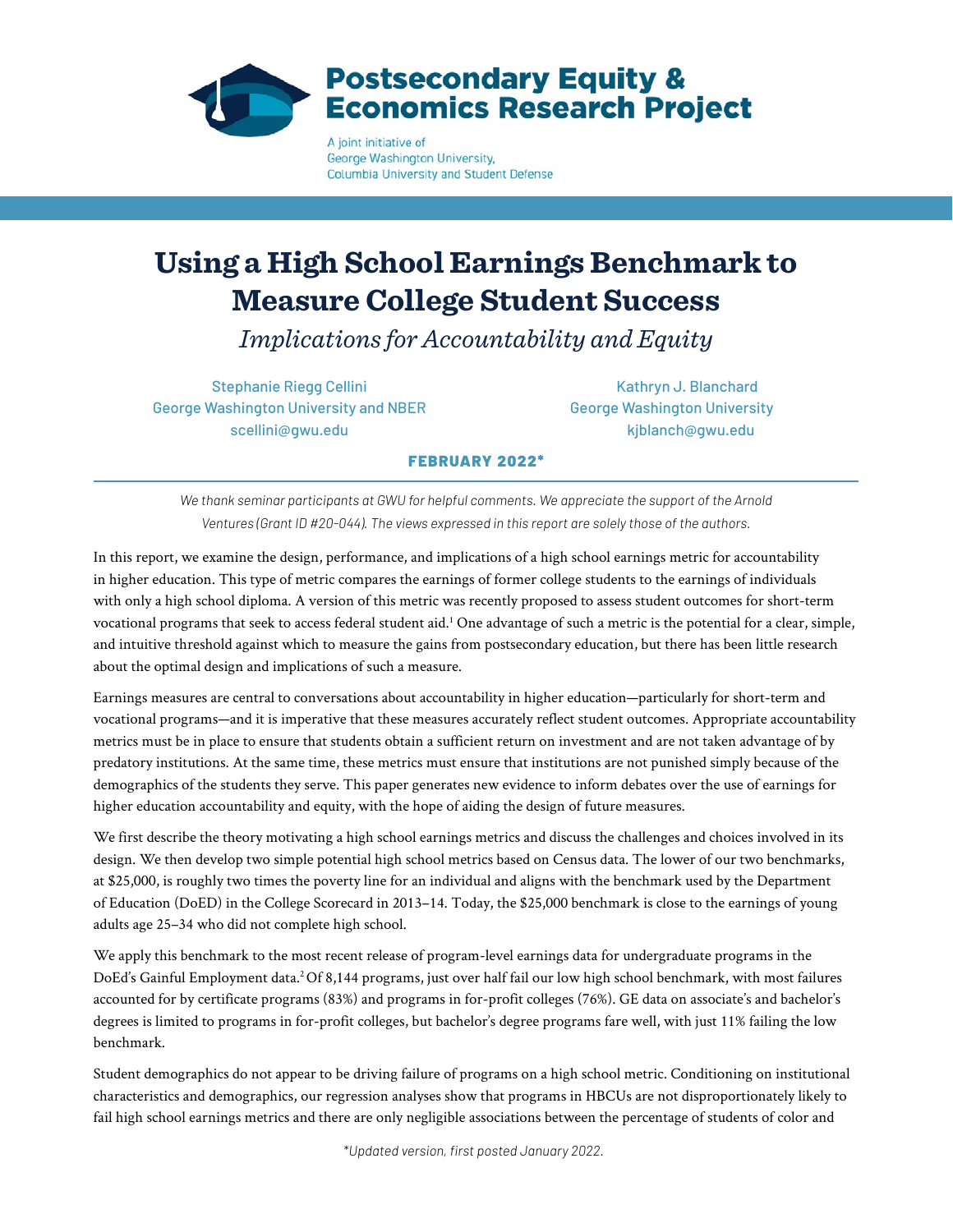

George Washington University, Columbia University and Student Defense

# **Using a High School Earnings Benchmark to Measure College Student Success**

*Implications for Accountability and Equity*

Stephanie Riegg Cellini Kathryn J. Blanchard George Washington University and NBER George Washington University scellini@gwu.edu kiblanch@gwu.edu

# FEBRUARY 2022\*

*We thank seminar participants at GWU for helpful comments. We appreciate the support of the Arnold Ventures (Grant ID #20-044). The views expressed in this report are solely those of the authors.*

In this report, we examine the design, performance, and implications of a high school earnings metric for accountability in higher education. This type of metric compares the earnings of former college students to the earnings of individuals with only a high school diploma. A version of this metric was recently proposed to assess student outcomes for short-term vocational programs that seek to access federal student aid.1 One advantage of such a metric is the potential for a clear, simple, and intuitive threshold against which to measure the gains from postsecondary education, but there has been little research about the optimal design and implications of such a measure.

Earnings measures are central to conversations about accountability in higher education—particularly for short-term and vocational programs—and it is imperative that these measures accurately reflect student outcomes. Appropriate accountability metrics must be in place to ensure that students obtain a sufficient return on investment and are not taken advantage of by predatory institutions. At the same time, these metrics must ensure that institutions are not punished simply because of the demographics of the students they serve. This paper generates new evidence to inform debates over the use of earnings for higher education accountability and equity, with the hope of aiding the design of future measures.

We first describe the theory motivating a high school earnings metrics and discuss the challenges and choices involved in its design. We then develop two simple potential high school metrics based on Census data. The lower of our two benchmarks, at \$25,000, is roughly two times the poverty line for an individual and aligns with the benchmark used by the Department of Education (DoED) in the College Scorecard in 2013–14. Today, the \$25,000 benchmark is close to the earnings of young adults age 25–34 who did not complete high school.

We apply this benchmark to the most recent release of program-level earnings data for undergraduate programs in the DoEd's Gainful Employment data.<sup>2</sup> Of 8,144 programs, just over half fail our low high school benchmark, with most failures accounted for by certificate programs (83%) and programs in for-profit colleges (76%). GE data on associate's and bachelor's degrees is limited to programs in for-profit colleges, but bachelor's degree programs fare well, with just 11% failing the low benchmark.

Student demographics do not appear to be driving failure of programs on a high school metric. Conditioning on institutional characteristics and demographics, our regression analyses show that programs in HBCUs are not disproportionately likely to fail high school earnings metrics and there are only negligible associations between the percentage of students of color and

*\*Updated version, first posted January 2022.*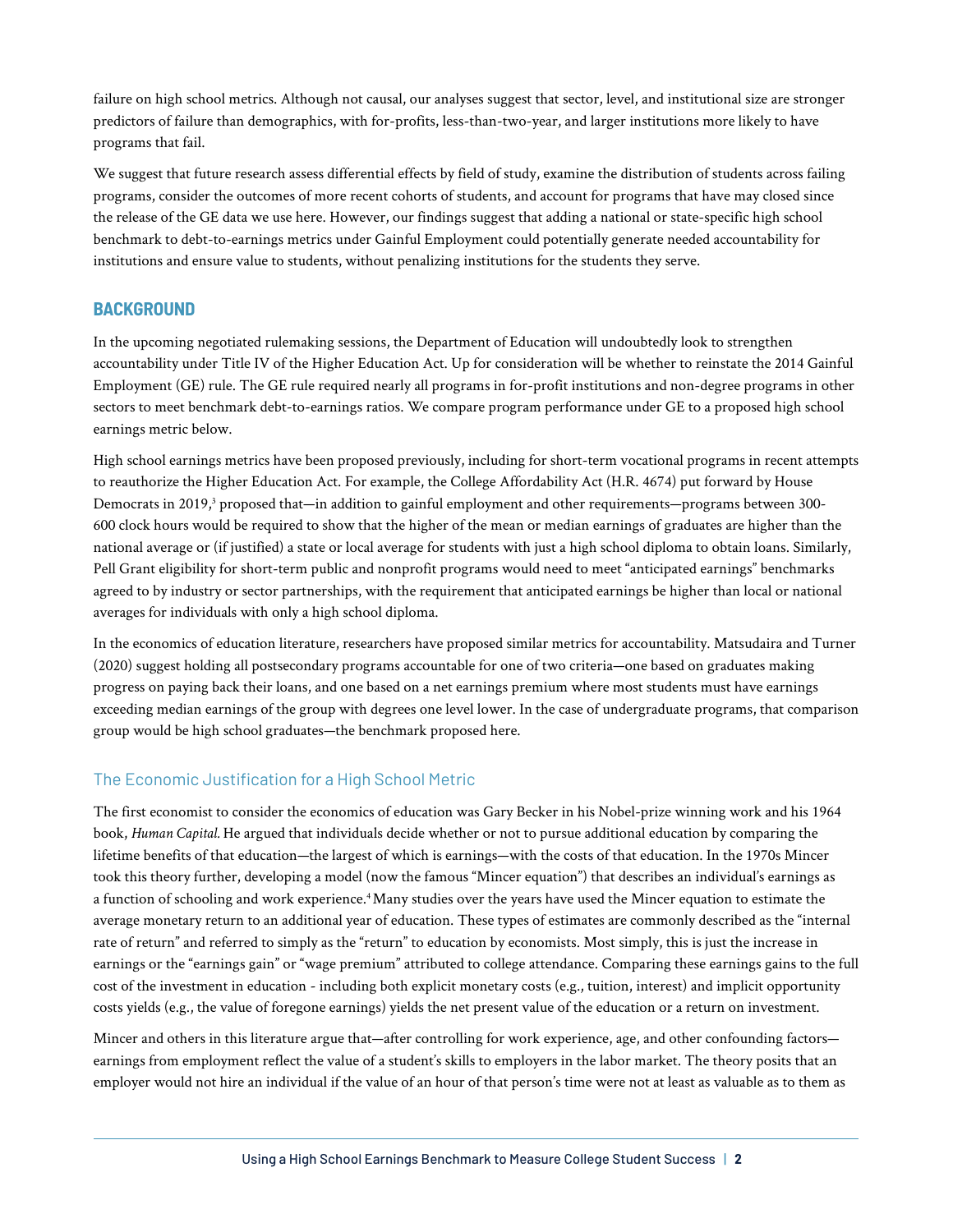failure on high school metrics. Although not causal, our analyses suggest that sector, level, and institutional size are stronger predictors of failure than demographics, with for-profits, less-than-two-year, and larger institutions more likely to have programs that fail.

We suggest that future research assess differential effects by field of study, examine the distribution of students across failing programs, consider the outcomes of more recent cohorts of students, and account for programs that have may closed since the release of the GE data we use here. However, our findings suggest that adding a national or state-specific high school benchmark to debt-to-earnings metrics under Gainful Employment could potentially generate needed accountability for institutions and ensure value to students, without penalizing institutions for the students they serve.

# **BACKGROUND**

In the upcoming negotiated rulemaking sessions, the Department of Education will undoubtedly look to strengthen accountability under Title IV of the Higher Education Act. Up for consideration will be whether to reinstate the 2014 Gainful Employment (GE) rule. The GE rule required nearly all programs in for-profit institutions and non-degree programs in other sectors to meet benchmark debt-to-earnings ratios. We compare program performance under GE to a proposed high school earnings metric below.

High school earnings metrics have been proposed previously, including for short-term vocational programs in recent attempts to reauthorize the Higher Education Act. For example, the College Affordability Act (H.R. 4674) put forward by House Democrats in 2019,<sup>3</sup> proposed that—in addition to gainful employment and other requirements—programs between 300-600 clock hours would be required to show that the higher of the mean or median earnings of graduates are higher than the national average or (if justified) a state or local average for students with just a high school diploma to obtain loans. Similarly, Pell Grant eligibility for short-term public and nonprofit programs would need to meet "anticipated earnings" benchmarks agreed to by industry or sector partnerships, with the requirement that anticipated earnings be higher than local or national averages for individuals with only a high school diploma.

In the economics of education literature, researchers have proposed similar metrics for accountability. Matsudaira and Turner (2020) suggest holding all postsecondary programs accountable for one of two criteria—one based on graduates making progress on paying back their loans, and one based on a net earnings premium where most students must have earnings exceeding median earnings of the group with degrees one level lower. In the case of undergraduate programs, that comparison group would be high school graduates—the benchmark proposed here.

# The Economic Justification for a High School Metric

The first economist to consider the economics of education was Gary Becker in his Nobel-prize winning work and his 1964 book, *Human Capital.* He argued that individuals decide whether or not to pursue additional education by comparing the lifetime benefits of that education—the largest of which is earnings—with the costs of that education. In the 1970s Mincer took this theory further, developing a model (now the famous "Mincer equation") that describes an individual's earnings as a function of schooling and work experience.<sup>4</sup> Many studies over the years have used the Mincer equation to estimate the average monetary return to an additional year of education. These types of estimates are commonly described as the "internal rate of return" and referred to simply as the "return" to education by economists. Most simply, this is just the increase in earnings or the "earnings gain" or "wage premium" attributed to college attendance. Comparing these earnings gains to the full cost of the investment in education - including both explicit monetary costs (e.g., tuition, interest) and implicit opportunity costs yields (e.g., the value of foregone earnings) yields the net present value of the education or a return on investment.

Mincer and others in this literature argue that—after controlling for work experience, age, and other confounding factors earnings from employment reflect the value of a student's skills to employers in the labor market. The theory posits that an employer would not hire an individual if the value of an hour of that person's time were not at least as valuable as to them as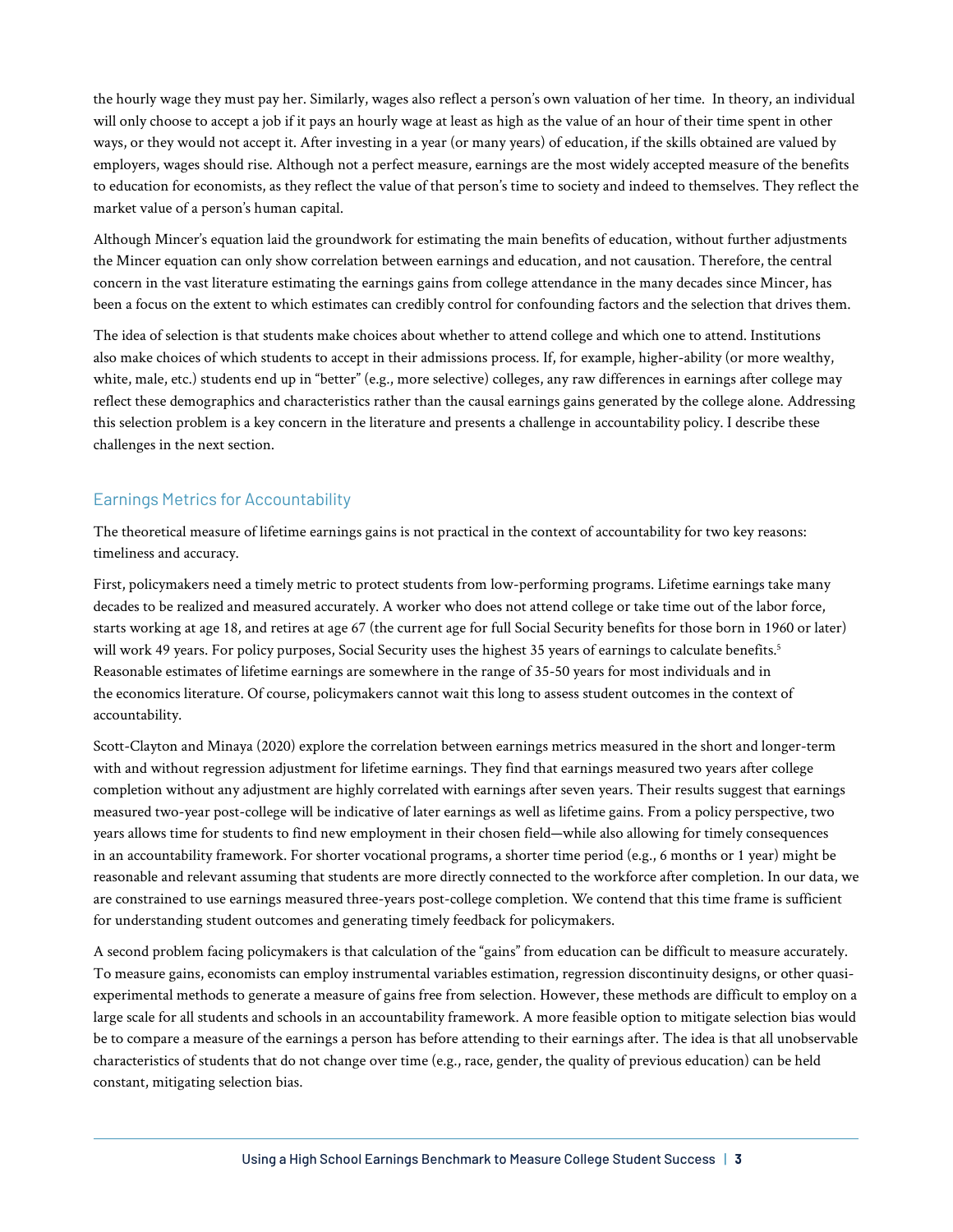the hourly wage they must pay her. Similarly, wages also reflect a person's own valuation of her time. In theory, an individual will only choose to accept a job if it pays an hourly wage at least as high as the value of an hour of their time spent in other ways, or they would not accept it. After investing in a year (or many years) of education, if the skills obtained are valued by employers, wages should rise. Although not a perfect measure, earnings are the most widely accepted measure of the benefits to education for economists, as they reflect the value of that person's time to society and indeed to themselves. They reflect the market value of a person's human capital.

Although Mincer's equation laid the groundwork for estimating the main benefits of education, without further adjustments the Mincer equation can only show correlation between earnings and education, and not causation. Therefore, the central concern in the vast literature estimating the earnings gains from college attendance in the many decades since Mincer, has been a focus on the extent to which estimates can credibly control for confounding factors and the selection that drives them.

The idea of selection is that students make choices about whether to attend college and which one to attend. Institutions also make choices of which students to accept in their admissions process. If, for example, higher-ability (or more wealthy, white, male, etc.) students end up in "better" (e.g., more selective) colleges, any raw differences in earnings after college may reflect these demographics and characteristics rather than the causal earnings gains generated by the college alone. Addressing this selection problem is a key concern in the literature and presents a challenge in accountability policy. I describe these challenges in the next section.

# Earnings Metrics for Accountability

The theoretical measure of lifetime earnings gains is not practical in the context of accountability for two key reasons: timeliness and accuracy.

First, policymakers need a timely metric to protect students from low-performing programs. Lifetime earnings take many decades to be realized and measured accurately. A worker who does not attend college or take time out of the labor force, starts working at age 18, and retires at age 67 (the current age for full Social Security benefits for those born in 1960 or later) will work 49 years. For policy purposes, Social Security uses the highest 35 years of earnings to calculate benefits.<sup>5</sup> Reasonable estimates of lifetime earnings are somewhere in the range of 35-50 years for most individuals and in the economics literature. Of course, policymakers cannot wait this long to assess student outcomes in the context of accountability.

Scott-Clayton and Minaya (2020) explore the correlation between earnings metrics measured in the short and longer-term with and without regression adjustment for lifetime earnings. They find that earnings measured two years after college completion without any adjustment are highly correlated with earnings after seven years. Their results suggest that earnings measured two-year post-college will be indicative of later earnings as well as lifetime gains. From a policy perspective, two years allows time for students to find new employment in their chosen field—while also allowing for timely consequences in an accountability framework. For shorter vocational programs, a shorter time period (e.g., 6 months or 1 year) might be reasonable and relevant assuming that students are more directly connected to the workforce after completion. In our data, we are constrained to use earnings measured three-years post-college completion. We contend that this time frame is sufficient for understanding student outcomes and generating timely feedback for policymakers.

A second problem facing policymakers is that calculation of the "gains" from education can be difficult to measure accurately. To measure gains, economists can employ instrumental variables estimation, regression discontinuity designs, or other quasiexperimental methods to generate a measure of gains free from selection. However, these methods are difficult to employ on a large scale for all students and schools in an accountability framework. A more feasible option to mitigate selection bias would be to compare a measure of the earnings a person has before attending to their earnings after. The idea is that all unobservable characteristics of students that do not change over time (e.g., race, gender, the quality of previous education) can be held constant, mitigating selection bias.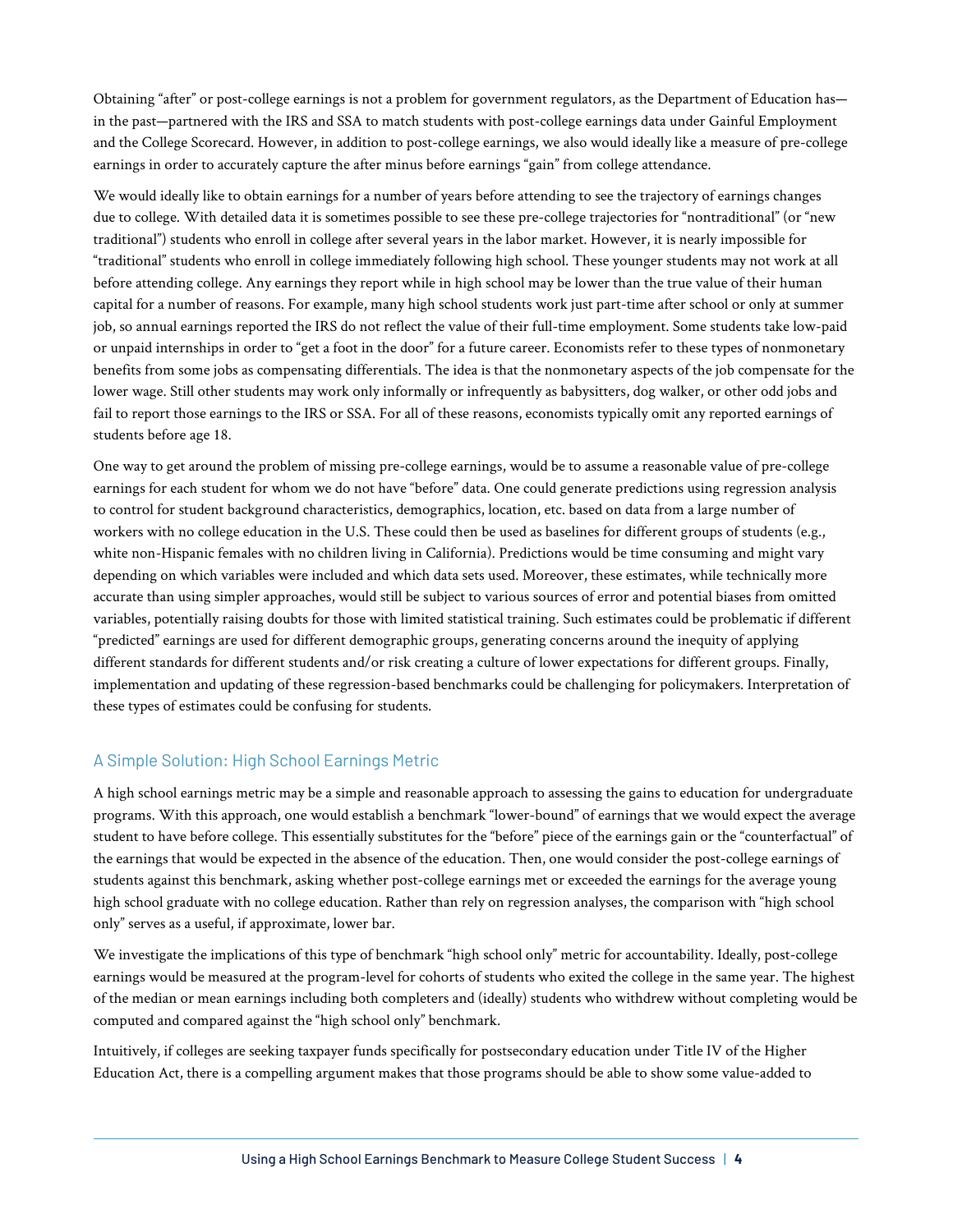Obtaining "after" or post-college earnings is not a problem for government regulators, as the Department of Education has in the past—partnered with the IRS and SSA to match students with post-college earnings data under Gainful Employment and the College Scorecard. However, in addition to post-college earnings, we also would ideally like a measure of pre-college earnings in order to accurately capture the after minus before earnings "gain" from college attendance.

We would ideally like to obtain earnings for a number of years before attending to see the trajectory of earnings changes due to college. With detailed data it is sometimes possible to see these pre-college trajectories for "nontraditional" (or "new traditional") students who enroll in college after several years in the labor market. However, it is nearly impossible for "traditional" students who enroll in college immediately following high school. These younger students may not work at all before attending college. Any earnings they report while in high school may be lower than the true value of their human capital for a number of reasons. For example, many high school students work just part-time after school or only at summer job, so annual earnings reported the IRS do not reflect the value of their full-time employment. Some students take low-paid or unpaid internships in order to "get a foot in the door" for a future career. Economists refer to these types of nonmonetary benefits from some jobs as compensating differentials. The idea is that the nonmonetary aspects of the job compensate for the lower wage. Still other students may work only informally or infrequently as babysitters, dog walker, or other odd jobs and fail to report those earnings to the IRS or SSA. For all of these reasons, economists typically omit any reported earnings of students before age 18.

One way to get around the problem of missing pre-college earnings, would be to assume a reasonable value of pre-college earnings for each student for whom we do not have "before" data. One could generate predictions using regression analysis to control for student background characteristics, demographics, location, etc. based on data from a large number of workers with no college education in the U.S. These could then be used as baselines for different groups of students (e.g., white non-Hispanic females with no children living in California). Predictions would be time consuming and might vary depending on which variables were included and which data sets used. Moreover, these estimates, while technically more accurate than using simpler approaches, would still be subject to various sources of error and potential biases from omitted variables, potentially raising doubts for those with limited statistical training. Such estimates could be problematic if different "predicted" earnings are used for different demographic groups, generating concerns around the inequity of applying different standards for different students and/or risk creating a culture of lower expectations for different groups. Finally, implementation and updating of these regression-based benchmarks could be challenging for policymakers. Interpretation of these types of estimates could be confusing for students.

# A Simple Solution: High School Earnings Metric

A high school earnings metric may be a simple and reasonable approach to assessing the gains to education for undergraduate programs. With this approach, one would establish a benchmark "lower-bound" of earnings that we would expect the average student to have before college. This essentially substitutes for the "before" piece of the earnings gain or the "counterfactual" of the earnings that would be expected in the absence of the education. Then, one would consider the post-college earnings of students against this benchmark, asking whether post-college earnings met or exceeded the earnings for the average young high school graduate with no college education. Rather than rely on regression analyses, the comparison with "high school only" serves as a useful, if approximate, lower bar.

We investigate the implications of this type of benchmark "high school only" metric for accountability. Ideally, post-college earnings would be measured at the program-level for cohorts of students who exited the college in the same year. The highest of the median or mean earnings including both completers and (ideally) students who withdrew without completing would be computed and compared against the "high school only" benchmark.

Intuitively, if colleges are seeking taxpayer funds specifically for postsecondary education under Title IV of the Higher Education Act, there is a compelling argument makes that those programs should be able to show some value-added to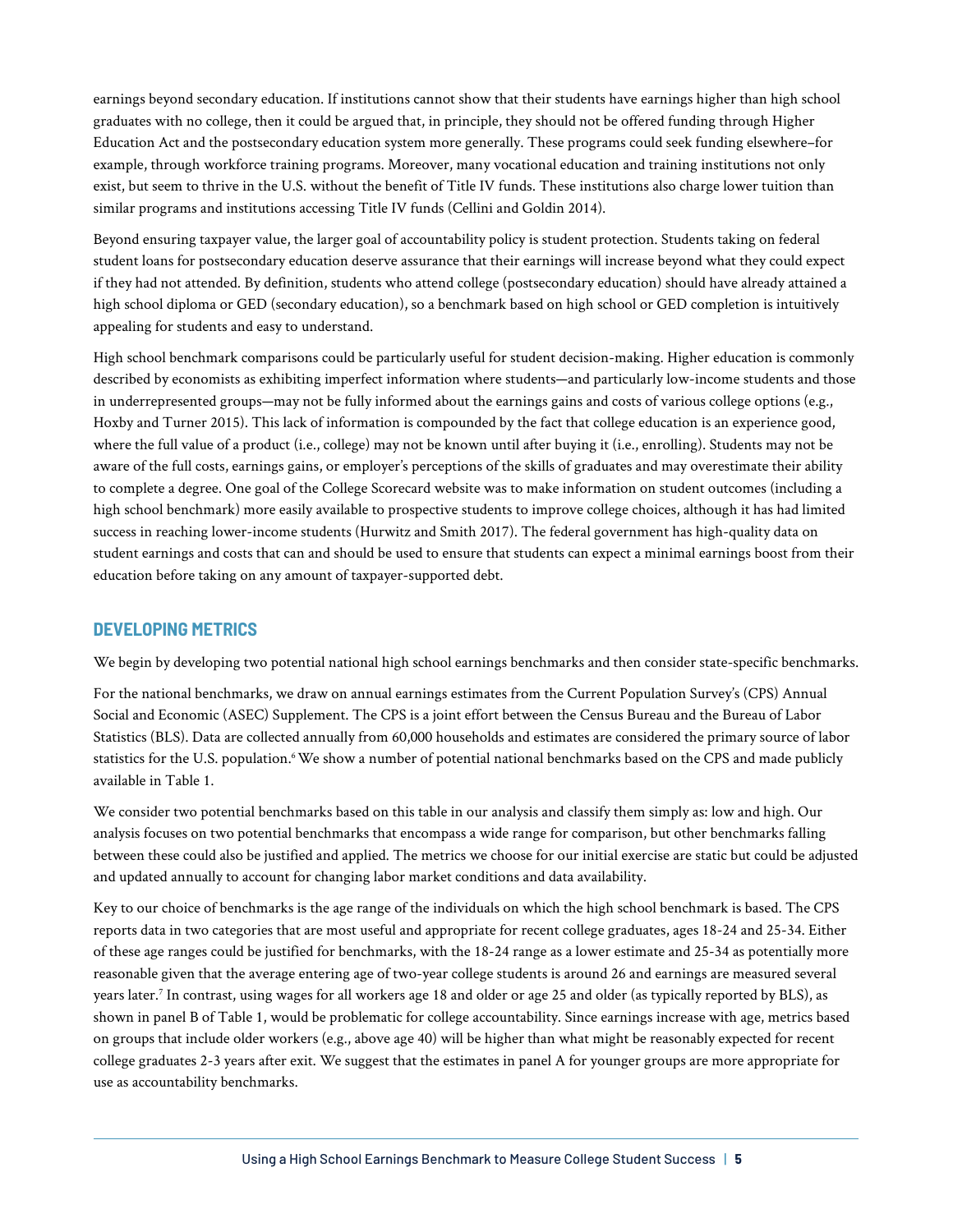earnings beyond secondary education. If institutions cannot show that their students have earnings higher than high school graduates with no college, then it could be argued that, in principle, they should not be offered funding through Higher Education Act and the postsecondary education system more generally. These programs could seek funding elsewhere–for example, through workforce training programs. Moreover, many vocational education and training institutions not only exist, but seem to thrive in the U.S. without the benefit of Title IV funds. These institutions also charge lower tuition than similar programs and institutions accessing Title IV funds (Cellini and Goldin 2014).

Beyond ensuring taxpayer value, the larger goal of accountability policy is student protection. Students taking on federal student loans for postsecondary education deserve assurance that their earnings will increase beyond what they could expect if they had not attended. By definition, students who attend college (postsecondary education) should have already attained a high school diploma or GED (secondary education), so a benchmark based on high school or GED completion is intuitively appealing for students and easy to understand.

High school benchmark comparisons could be particularly useful for student decision-making. Higher education is commonly described by economists as exhibiting imperfect information where students—and particularly low-income students and those in underrepresented groups—may not be fully informed about the earnings gains and costs of various college options (e.g., Hoxby and Turner 2015). This lack of information is compounded by the fact that college education is an experience good, where the full value of a product (i.e., college) may not be known until after buying it (i.e., enrolling). Students may not be aware of the full costs, earnings gains, or employer's perceptions of the skills of graduates and may overestimate their ability to complete a degree. One goal of the College Scorecard website was to make information on student outcomes (including a high school benchmark) more easily available to prospective students to improve college choices, although it has had limited success in reaching lower-income students (Hurwitz and Smith 2017). The federal government has high-quality data on student earnings and costs that can and should be used to ensure that students can expect a minimal earnings boost from their education before taking on any amount of taxpayer-supported debt.

# **DEVELOPING METRICS**

We begin by developing two potential national high school earnings benchmarks and then consider state-specific benchmarks.

For the national benchmarks, we draw on annual earnings estimates from the Current Population Survey's (CPS) Annual Social and Economic (ASEC) Supplement. The CPS is a joint effort between the Census Bureau and the Bureau of Labor Statistics (BLS). Data are collected annually from 60,000 households and estimates are considered the primary source of labor statistics for the U.S. population.<sup>6</sup> We show a number of potential national benchmarks based on the CPS and made publicly available in Table 1.

We consider two potential benchmarks based on this table in our analysis and classify them simply as: low and high. Our analysis focuses on two potential benchmarks that encompass a wide range for comparison, but other benchmarks falling between these could also be justified and applied. The metrics we choose for our initial exercise are static but could be adjusted and updated annually to account for changing labor market conditions and data availability.

Key to our choice of benchmarks is the age range of the individuals on which the high school benchmark is based. The CPS reports data in two categories that are most useful and appropriate for recent college graduates, ages 18-24 and 25-34. Either of these age ranges could be justified for benchmarks, with the 18-24 range as a lower estimate and 25-34 as potentially more reasonable given that the average entering age of two-year college students is around 26 and earnings are measured several years later.7 In contrast, using wages for all workers age 18 and older or age 25 and older (as typically reported by BLS), as shown in panel B of Table 1, would be problematic for college accountability. Since earnings increase with age, metrics based on groups that include older workers (e.g., above age 40) will be higher than what might be reasonably expected for recent college graduates 2-3 years after exit. We suggest that the estimates in panel A for younger groups are more appropriate for use as accountability benchmarks.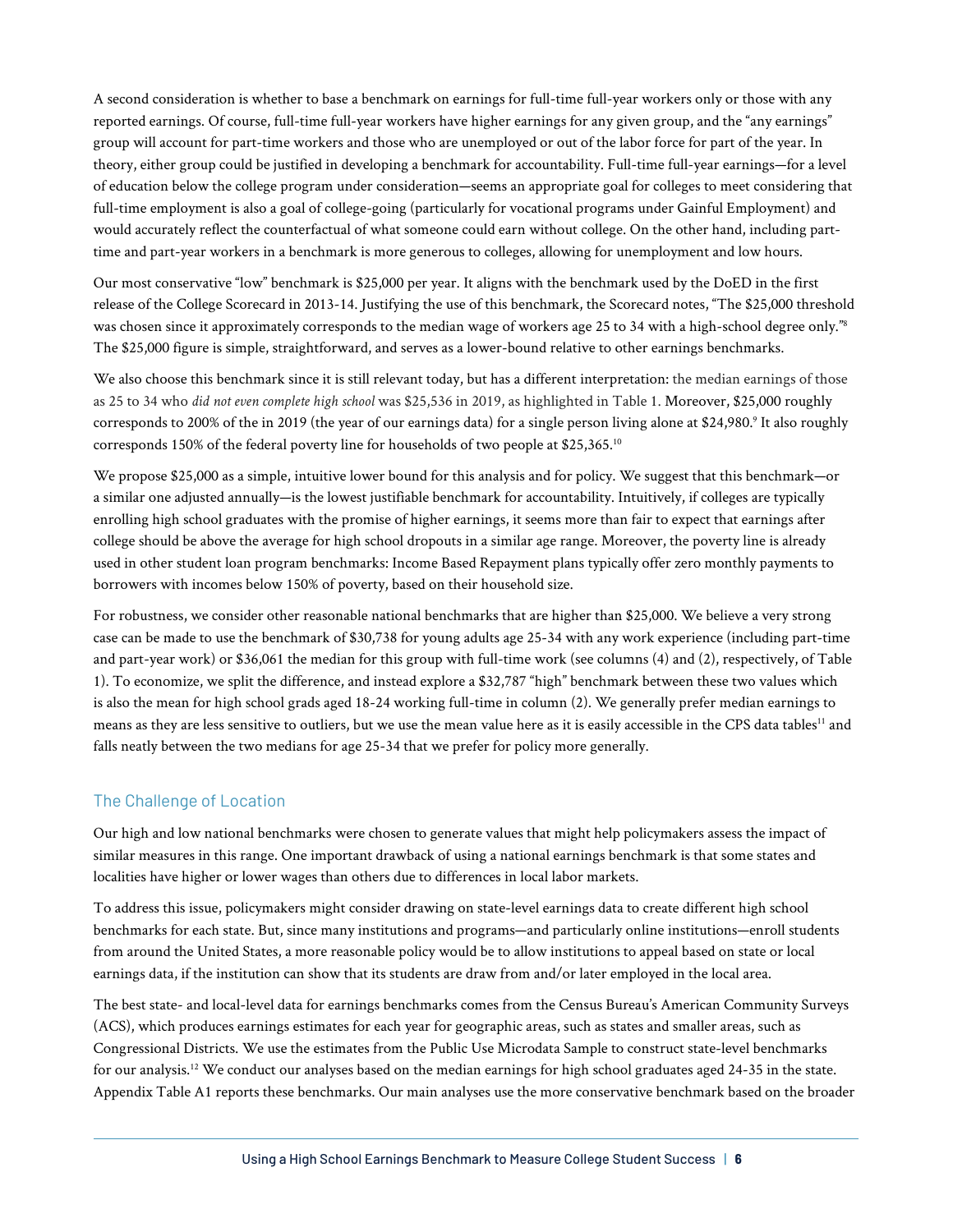A second consideration is whether to base a benchmark on earnings for full-time full-year workers only or those with any reported earnings. Of course, full-time full-year workers have higher earnings for any given group, and the "any earnings" group will account for part-time workers and those who are unemployed or out of the labor force for part of the year. In theory, either group could be justified in developing a benchmark for accountability. Full-time full-year earnings—for a level of education below the college program under consideration—seems an appropriate goal for colleges to meet considering that full-time employment is also a goal of college-going (particularly for vocational programs under Gainful Employment) and would accurately reflect the counterfactual of what someone could earn without college. On the other hand, including parttime and part-year workers in a benchmark is more generous to colleges, allowing for unemployment and low hours.

Our most conservative "low" benchmark is \$25,000 per year. It aligns with the benchmark used by the DoED in the first release of the College Scorecard in 2013-14. Justifying the use of this benchmark, the Scorecard notes, "The \$25,000 threshold was chosen since it approximately corresponds to the median wage of workers age 25 to 34 with a high-school degree only."<sup>8</sup> The \$25,000 figure is simple, straightforward, and serves as a lower-bound relative to other earnings benchmarks.

We also choose this benchmark since it is still relevant today, but has a different interpretation: the median earnings of those as 25 to 34 who *did not even complete high school* was \$25,536 in 2019, as highlighted in Table 1. Moreover, \$25,000 roughly corresponds to 200% of the in 2019 (the year of our earnings data) for a single person living alone at \$24,980.<sup>9</sup> It also roughly corresponds 150% of the federal poverty line for households of two people at \$25,365.10

We propose \$25,000 as a simple, intuitive lower bound for this analysis and for policy. We suggest that this benchmark—or a similar one adjusted annually—is the lowest justifiable benchmark for accountability. Intuitively, if colleges are typically enrolling high school graduates with the promise of higher earnings, it seems more than fair to expect that earnings after college should be above the average for high school dropouts in a similar age range. Moreover, the poverty line is already used in other student loan program benchmarks: Income Based Repayment plans typically offer zero monthly payments to borrowers with incomes below 150% of poverty, based on their household size.

For robustness, we consider other reasonable national benchmarks that are higher than \$25,000. We believe a very strong case can be made to use the benchmark of \$30,738 for young adults age 25-34 with any work experience (including part-time and part-year work) or \$36,061 the median for this group with full-time work (see columns (4) and (2), respectively, of Table 1). To economize, we split the difference, and instead explore a \$32,787 "high" benchmark between these two values which is also the mean for high school grads aged 18-24 working full-time in column (2). We generally prefer median earnings to means as they are less sensitive to outliers, but we use the mean value here as it is easily accessible in the CPS data tables<sup>11</sup> and falls neatly between the two medians for age 25-34 that we prefer for policy more generally.

# The Challenge of Location

Our high and low national benchmarks were chosen to generate values that might help policymakers assess the impact of similar measures in this range. One important drawback of using a national earnings benchmark is that some states and localities have higher or lower wages than others due to differences in local labor markets.

To address this issue, policymakers might consider drawing on state-level earnings data to create different high school benchmarks for each state. But, since many institutions and programs—and particularly online institutions—enroll students from around the United States, a more reasonable policy would be to allow institutions to appeal based on state or local earnings data, if the institution can show that its students are draw from and/or later employed in the local area.

The best state- and local-level data for earnings benchmarks comes from the Census Bureau's American Community Surveys (ACS), which produces earnings estimates for each year for geographic areas, such as states and smaller areas, such as Congressional Districts. We use the estimates from the Public Use Microdata Sample to construct state-level benchmarks for our analysis.12 We conduct our analyses based on the median earnings for high school graduates aged 24-35 in the state. Appendix Table A1 reports these benchmarks. Our main analyses use the more conservative benchmark based on the broader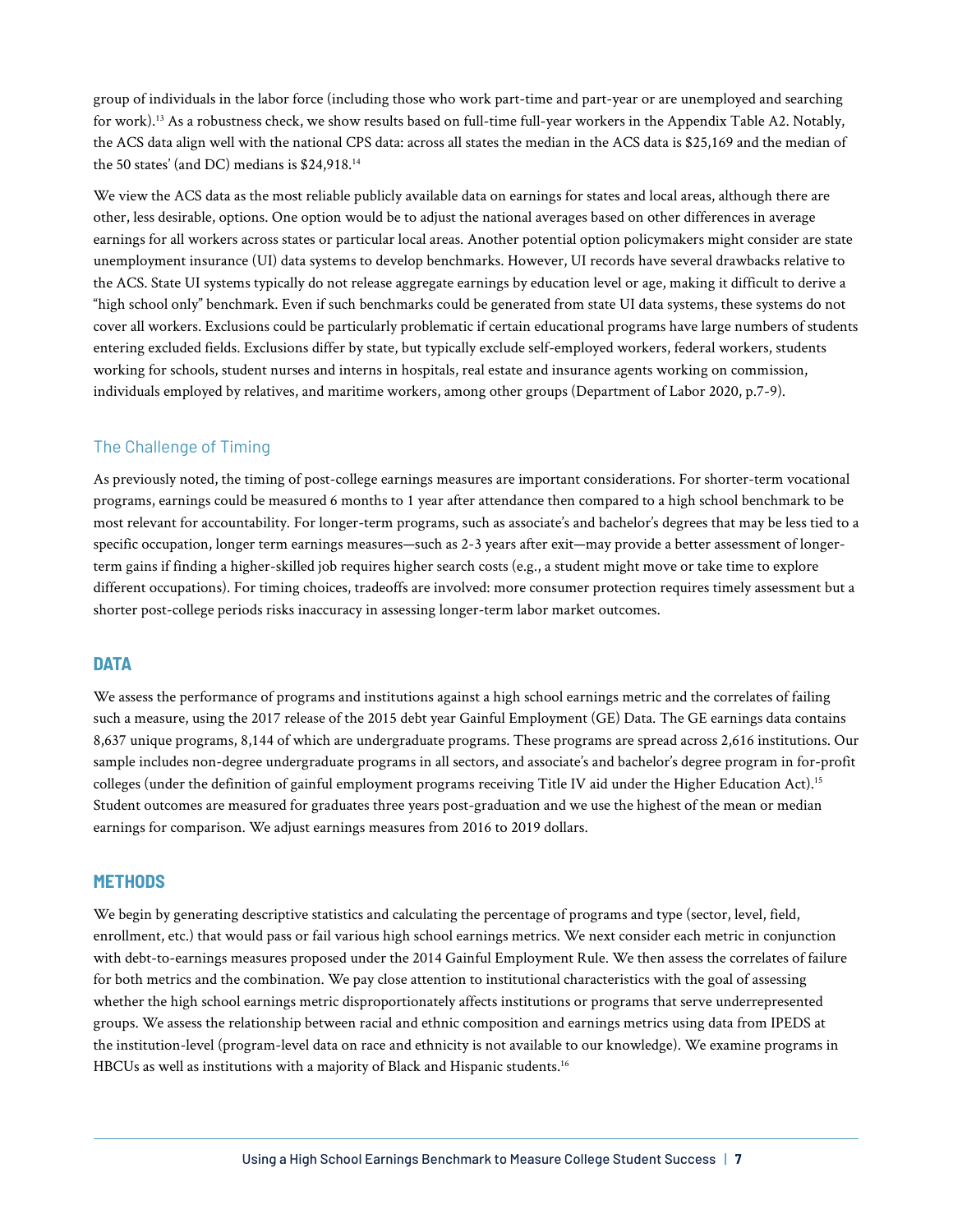group of individuals in the labor force (including those who work part-time and part-year or are unemployed and searching for work).13 As a robustness check, we show results based on full-time full-year workers in the Appendix Table A2. Notably, the ACS data align well with the national CPS data: across all states the median in the ACS data is \$25,169 and the median of the 50 states' (and DC) medians is \$24,918.14

We view the ACS data as the most reliable publicly available data on earnings for states and local areas, although there are other, less desirable, options. One option would be to adjust the national averages based on other differences in average earnings for all workers across states or particular local areas. Another potential option policymakers might consider are state unemployment insurance (UI) data systems to develop benchmarks. However, UI records have several drawbacks relative to the ACS. State UI systems typically do not release aggregate earnings by education level or age, making it difficult to derive a "high school only" benchmark. Even if such benchmarks could be generated from state UI data systems, these systems do not cover all workers. Exclusions could be particularly problematic if certain educational programs have large numbers of students entering excluded fields. Exclusions differ by state, but typically exclude self-employed workers, federal workers, students working for schools, student nurses and interns in hospitals, real estate and insurance agents working on commission, individuals employed by relatives, and maritime workers, among other groups (Department of Labor 2020, p.7-9).

# The Challenge of Timing

As previously noted, the timing of post-college earnings measures are important considerations. For shorter-term vocational programs, earnings could be measured 6 months to 1 year after attendance then compared to a high school benchmark to be most relevant for accountability. For longer-term programs, such as associate's and bachelor's degrees that may be less tied to a specific occupation, longer term earnings measures—such as 2-3 years after exit—may provide a better assessment of longerterm gains if finding a higher-skilled job requires higher search costs (e.g., a student might move or take time to explore different occupations). For timing choices, tradeoffs are involved: more consumer protection requires timely assessment but a shorter post-college periods risks inaccuracy in assessing longer-term labor market outcomes.

# **DATA**

We assess the performance of programs and institutions against a high school earnings metric and the correlates of failing such a measure, using the 2017 release of the 2015 debt year Gainful Employment (GE) Data. The GE earnings data contains 8,637 unique programs, 8,144 of which are undergraduate programs. These programs are spread across 2,616 institutions. Our sample includes non-degree undergraduate programs in all sectors, and associate's and bachelor's degree program in for-profit colleges (under the definition of gainful employment programs receiving Title IV aid under the Higher Education Act).<sup>15</sup> Student outcomes are measured for graduates three years post-graduation and we use the highest of the mean or median earnings for comparison. We adjust earnings measures from 2016 to 2019 dollars.

# **METHODS**

We begin by generating descriptive statistics and calculating the percentage of programs and type (sector, level, field, enrollment, etc.) that would pass or fail various high school earnings metrics. We next consider each metric in conjunction with debt-to-earnings measures proposed under the 2014 Gainful Employment Rule. We then assess the correlates of failure for both metrics and the combination. We pay close attention to institutional characteristics with the goal of assessing whether the high school earnings metric disproportionately affects institutions or programs that serve underrepresented groups. We assess the relationship between racial and ethnic composition and earnings metrics using data from IPEDS at the institution-level (program-level data on race and ethnicity is not available to our knowledge). We examine programs in HBCUs as well as institutions with a majority of Black and Hispanic students.<sup>16</sup>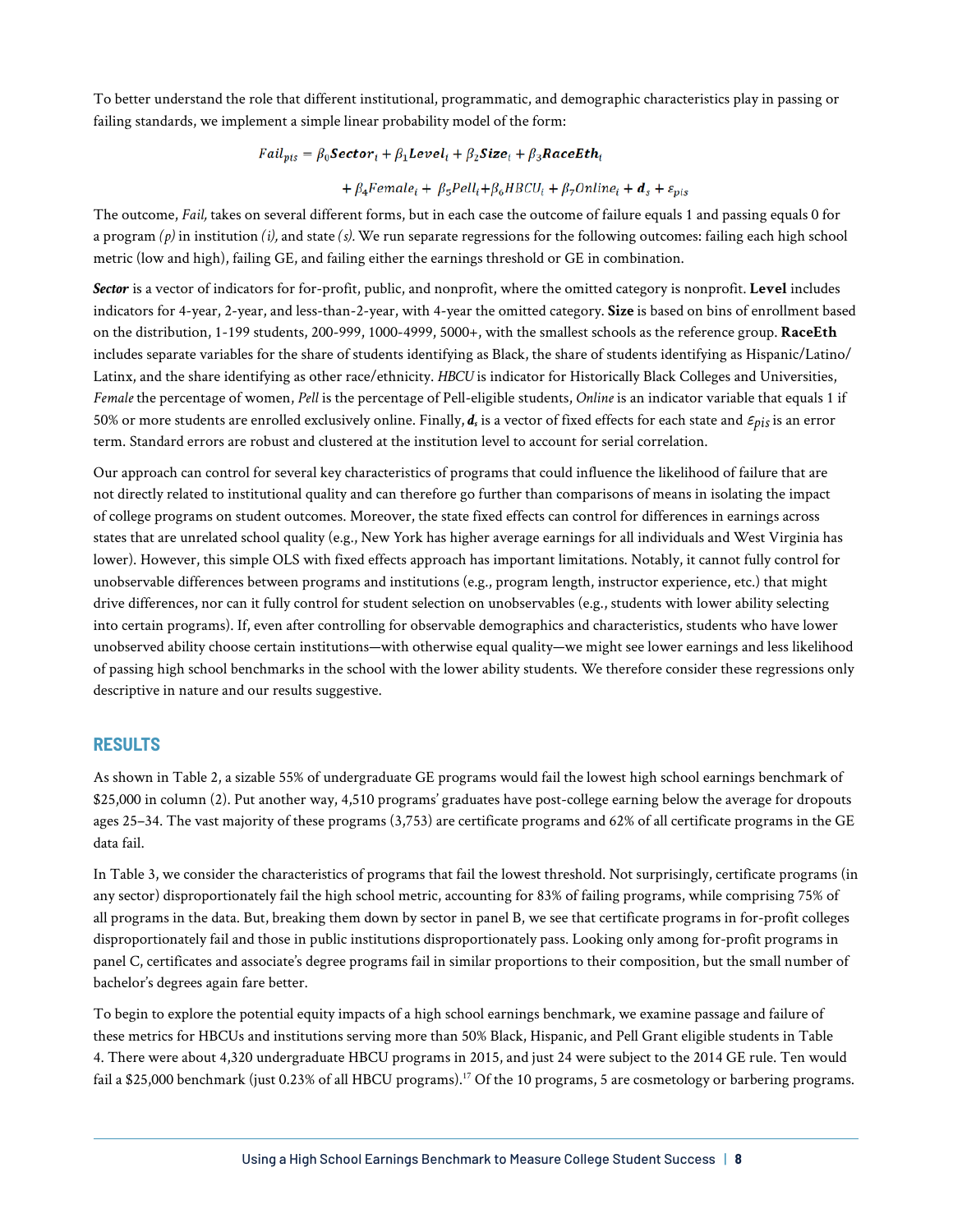To better understand the role that different institutional, programmatic, and demographic characteristics play in passing or failing standards, we implement a simple linear probability model of the form:

$$
Fall_{vis} = \beta_0 \textbf{Sector}_i + \beta_1 \textbf{Level}_i + \beta_2 \textbf{Size}_i + \beta_3 \textbf{RaceEth}_i
$$

+  $\beta_4$ Female<sub>i</sub> +  $\beta_5$ Pell<sub>i</sub> +  $\beta_6$ HBCU<sub>i</sub> +  $\beta_7$ Online<sub>i</sub> +  $d_s$  +  $\varepsilon_{pis}$ 

The outcome, *Fail,* takes on several different forms, but in each case the outcome of failure equals 1 and passing equals 0 for a program  $(p)$  in institution  $(i)$ , and state  $(s)$ . We run separate regressions for the following outcomes: failing each high school metric (low and high), failing GE, and failing either the earnings threshold or GE in combination.

*Sector* is a vector of indicators for for-profit, public, and nonprofit, where the omitted category is nonprofit. **Level** includes indicators for 4-year, 2-year, and less-than-2-year, with 4-year the omitted category. **Size** is based on bins of enrollment based on the distribution, 1-199 students, 200-999, 1000-4999, 5000+, with the smallest schools as the reference group. **RaceEth**  includes separate variables for the share of students identifying as Black, the share of students identifying as Hispanic/Latino/ Latinx, and the share identifying as other race/ethnicity. *HBCU* is indicator for Historically Black Colleges and Universities, *Female* the percentage of women, *Pell* is the percentage of Pell-eligible students, *Online* is an indicator variable that equals 1 if 50% or more students are enrolled exclusively online. Finally, *ds* is a vector of fixed effects for each state and ε*pis* is an error term. Standard errors are robust and clustered at the institution level to account for serial correlation.

Our approach can control for several key characteristics of programs that could influence the likelihood of failure that are not directly related to institutional quality and can therefore go further than comparisons of means in isolating the impact of college programs on student outcomes. Moreover, the state fixed effects can control for differences in earnings across states that are unrelated school quality (e.g., New York has higher average earnings for all individuals and West Virginia has lower). However, this simple OLS with fixed effects approach has important limitations. Notably, it cannot fully control for unobservable differences between programs and institutions (e.g., program length, instructor experience, etc.) that might drive differences, nor can it fully control for student selection on unobservables (e.g., students with lower ability selecting into certain programs). If, even after controlling for observable demographics and characteristics, students who have lower unobserved ability choose certain institutions—with otherwise equal quality—we might see lower earnings and less likelihood of passing high school benchmarks in the school with the lower ability students. We therefore consider these regressions only descriptive in nature and our results suggestive.

# **RESULTS**

As shown in Table 2, a sizable 55% of undergraduate GE programs would fail the lowest high school earnings benchmark of \$25,000 in column (2). Put another way, 4,510 programs' graduates have post-college earning below the average for dropouts ages 25–34. The vast majority of these programs (3,753) are certificate programs and 62% of all certificate programs in the GE data fail.

In Table 3, we consider the characteristics of programs that fail the lowest threshold. Not surprisingly, certificate programs (in any sector) disproportionately fail the high school metric, accounting for 83% of failing programs, while comprising 75% of all programs in the data. But, breaking them down by sector in panel B, we see that certificate programs in for-profit colleges disproportionately fail and those in public institutions disproportionately pass. Looking only among for-profit programs in panel C, certificates and associate's degree programs fail in similar proportions to their composition, but the small number of bachelor's degrees again fare better.

To begin to explore the potential equity impacts of a high school earnings benchmark, we examine passage and failure of these metrics for HBCUs and institutions serving more than 50% Black, Hispanic, and Pell Grant eligible students in Table 4. There were about 4,320 undergraduate HBCU programs in 2015, and just 24 were subject to the 2014 GE rule. Ten would fail a \$25,000 benchmark (just 0.23% of all HBCU programs).<sup>17</sup> Of the 10 programs, 5 are cosmetology or barbering programs.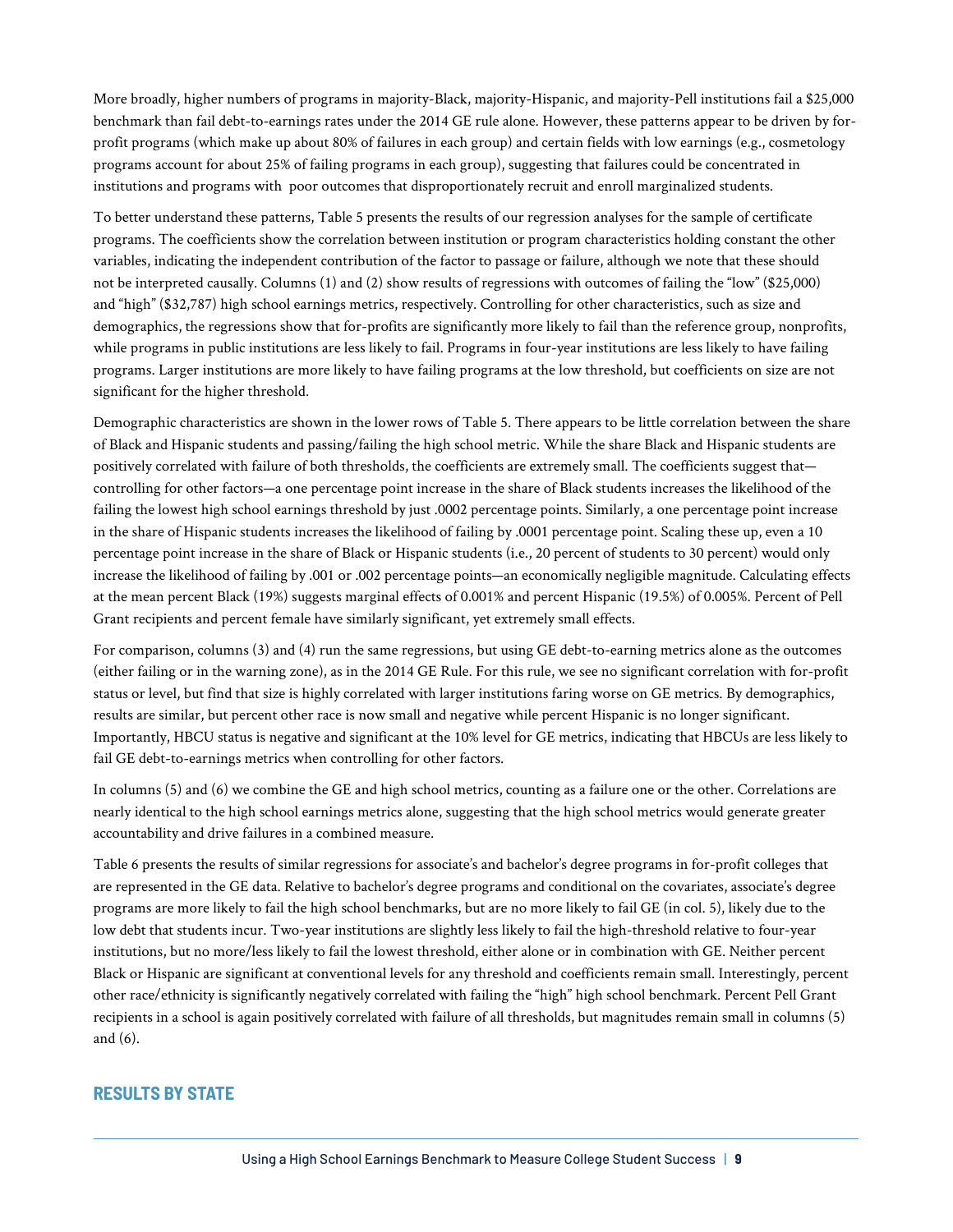More broadly, higher numbers of programs in majority-Black, majority-Hispanic, and majority-Pell institutions fail a \$25,000 benchmark than fail debt-to-earnings rates under the 2014 GE rule alone. However, these patterns appear to be driven by forprofit programs (which make up about 80% of failures in each group) and certain fields with low earnings (e.g., cosmetology programs account for about 25% of failing programs in each group), suggesting that failures could be concentrated in institutions and programs with poor outcomes that disproportionately recruit and enroll marginalized students.

To better understand these patterns, Table 5 presents the results of our regression analyses for the sample of certificate programs. The coefficients show the correlation between institution or program characteristics holding constant the other variables, indicating the independent contribution of the factor to passage or failure, although we note that these should not be interpreted causally. Columns (1) and (2) show results of regressions with outcomes of failing the "low" (\$25,000) and "high" (\$32,787) high school earnings metrics, respectively. Controlling for other characteristics, such as size and demographics, the regressions show that for-profits are significantly more likely to fail than the reference group, nonprofits, while programs in public institutions are less likely to fail. Programs in four-year institutions are less likely to have failing programs. Larger institutions are more likely to have failing programs at the low threshold, but coefficients on size are not significant for the higher threshold.

Demographic characteristics are shown in the lower rows of Table 5. There appears to be little correlation between the share of Black and Hispanic students and passing/failing the high school metric. While the share Black and Hispanic students are positively correlated with failure of both thresholds, the coefficients are extremely small. The coefficients suggest thatcontrolling for other factors—a one percentage point increase in the share of Black students increases the likelihood of the failing the lowest high school earnings threshold by just .0002 percentage points. Similarly, a one percentage point increase in the share of Hispanic students increases the likelihood of failing by .0001 percentage point. Scaling these up, even a 10 percentage point increase in the share of Black or Hispanic students (i.e., 20 percent of students to 30 percent) would only increase the likelihood of failing by .001 or .002 percentage points—an economically negligible magnitude. Calculating effects at the mean percent Black (19%) suggests marginal effects of 0.001% and percent Hispanic (19.5%) of 0.005%. Percent of Pell Grant recipients and percent female have similarly significant, yet extremely small effects.

For comparison, columns (3) and (4) run the same regressions, but using GE debt-to-earning metrics alone as the outcomes (either failing or in the warning zone), as in the 2014 GE Rule. For this rule, we see no significant correlation with for-profit status or level, but find that size is highly correlated with larger institutions faring worse on GE metrics. By demographics, results are similar, but percent other race is now small and negative while percent Hispanic is no longer significant. Importantly, HBCU status is negative and significant at the 10% level for GE metrics, indicating that HBCUs are less likely to fail GE debt-to-earnings metrics when controlling for other factors.

In columns (5) and (6) we combine the GE and high school metrics, counting as a failure one or the other. Correlations are nearly identical to the high school earnings metrics alone, suggesting that the high school metrics would generate greater accountability and drive failures in a combined measure.

Table 6 presents the results of similar regressions for associate's and bachelor's degree programs in for-profit colleges that are represented in the GE data. Relative to bachelor's degree programs and conditional on the covariates, associate's degree programs are more likely to fail the high school benchmarks, but are no more likely to fail GE (in col. 5), likely due to the low debt that students incur. Two-year institutions are slightly less likely to fail the high-threshold relative to four-year institutions, but no more/less likely to fail the lowest threshold, either alone or in combination with GE. Neither percent Black or Hispanic are significant at conventional levels for any threshold and coefficients remain small. Interestingly, percent other race/ethnicity is significantly negatively correlated with failing the "high" high school benchmark. Percent Pell Grant recipients in a school is again positively correlated with failure of all thresholds, but magnitudes remain small in columns (5) and (6).

# **RESULTS BY STATE**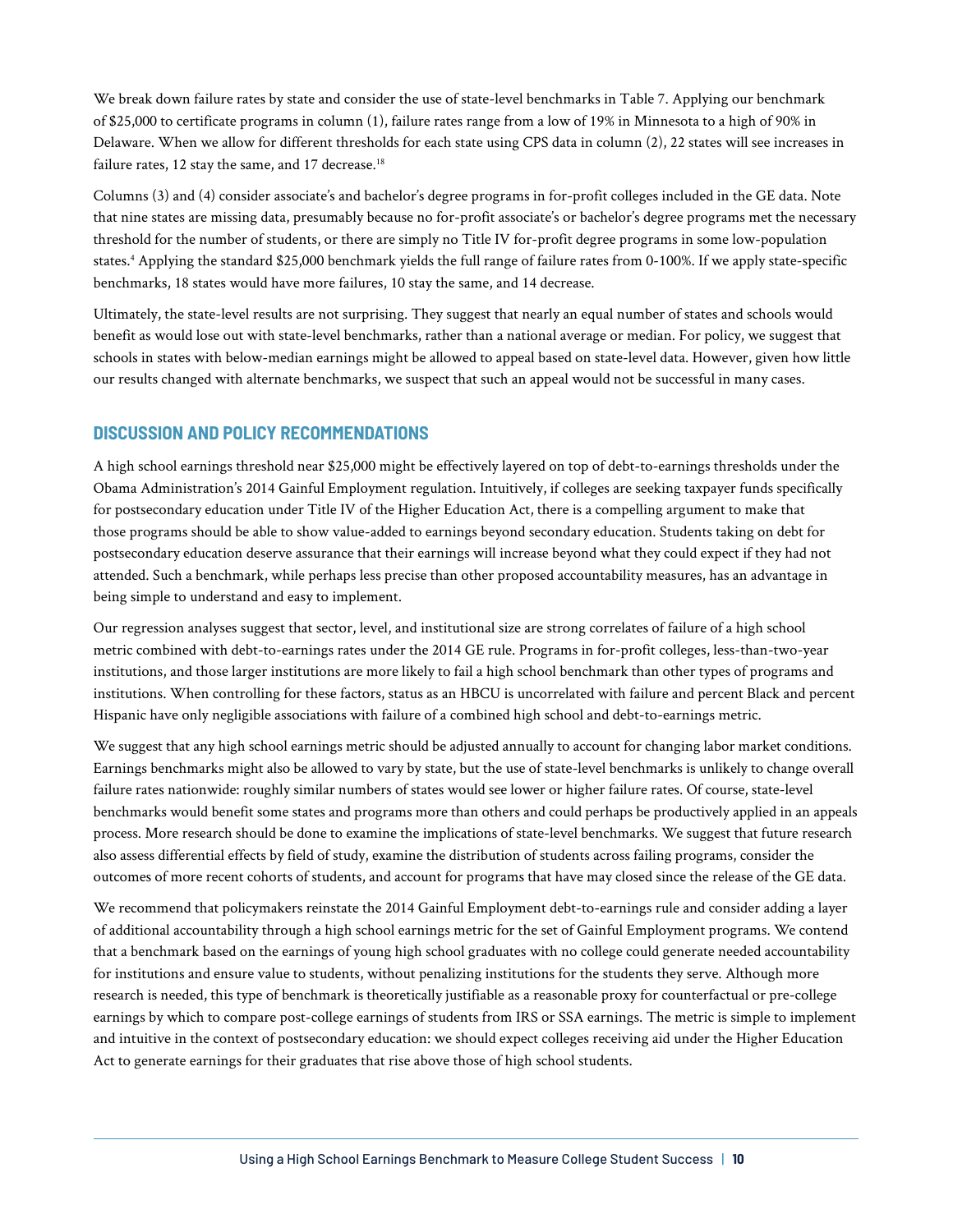We break down failure rates by state and consider the use of state-level benchmarks in Table 7. Applying our benchmark of \$25,000 to certificate programs in column (1), failure rates range from a low of 19% in Minnesota to a high of 90% in Delaware. When we allow for different thresholds for each state using CPS data in column (2), 22 states will see increases in failure rates, 12 stay the same, and 17 decrease.<sup>18</sup>

Columns (3) and (4) consider associate's and bachelor's degree programs in for-profit colleges included in the GE data. Note that nine states are missing data, presumably because no for-profit associate's or bachelor's degree programs met the necessary threshold for the number of students, or there are simply no Title IV for-profit degree programs in some low-population states.4 Applying the standard \$25,000 benchmark yields the full range of failure rates from 0-100%. If we apply state-specific benchmarks, 18 states would have more failures, 10 stay the same, and 14 decrease.

Ultimately, the state-level results are not surprising. They suggest that nearly an equal number of states and schools would benefit as would lose out with state-level benchmarks, rather than a national average or median. For policy, we suggest that schools in states with below-median earnings might be allowed to appeal based on state-level data. However, given how little our results changed with alternate benchmarks, we suspect that such an appeal would not be successful in many cases.

# **DISCUSSION AND POLICY RECOMMENDATIONS**

A high school earnings threshold near \$25,000 might be effectively layered on top of debt-to-earnings thresholds under the Obama Administration's 2014 Gainful Employment regulation. Intuitively, if colleges are seeking taxpayer funds specifically for postsecondary education under Title IV of the Higher Education Act, there is a compelling argument to make that those programs should be able to show value-added to earnings beyond secondary education. Students taking on debt for postsecondary education deserve assurance that their earnings will increase beyond what they could expect if they had not attended. Such a benchmark, while perhaps less precise than other proposed accountability measures, has an advantage in being simple to understand and easy to implement.

Our regression analyses suggest that sector, level, and institutional size are strong correlates of failure of a high school metric combined with debt-to-earnings rates under the 2014 GE rule. Programs in for-profit colleges, less-than-two-year institutions, and those larger institutions are more likely to fail a high school benchmark than other types of programs and institutions. When controlling for these factors, status as an HBCU is uncorrelated with failure and percent Black and percent Hispanic have only negligible associations with failure of a combined high school and debt-to-earnings metric.

We suggest that any high school earnings metric should be adjusted annually to account for changing labor market conditions. Earnings benchmarks might also be allowed to vary by state, but the use of state-level benchmarks is unlikely to change overall failure rates nationwide: roughly similar numbers of states would see lower or higher failure rates. Of course, state-level benchmarks would benefit some states and programs more than others and could perhaps be productively applied in an appeals process. More research should be done to examine the implications of state-level benchmarks. We suggest that future research also assess differential effects by field of study, examine the distribution of students across failing programs, consider the outcomes of more recent cohorts of students, and account for programs that have may closed since the release of the GE data.

We recommend that policymakers reinstate the 2014 Gainful Employment debt-to-earnings rule and consider adding a layer of additional accountability through a high school earnings metric for the set of Gainful Employment programs. We contend that a benchmark based on the earnings of young high school graduates with no college could generate needed accountability for institutions and ensure value to students, without penalizing institutions for the students they serve. Although more research is needed, this type of benchmark is theoretically justifiable as a reasonable proxy for counterfactual or pre-college earnings by which to compare post-college earnings of students from IRS or SSA earnings. The metric is simple to implement and intuitive in the context of postsecondary education: we should expect colleges receiving aid under the Higher Education Act to generate earnings for their graduates that rise above those of high school students.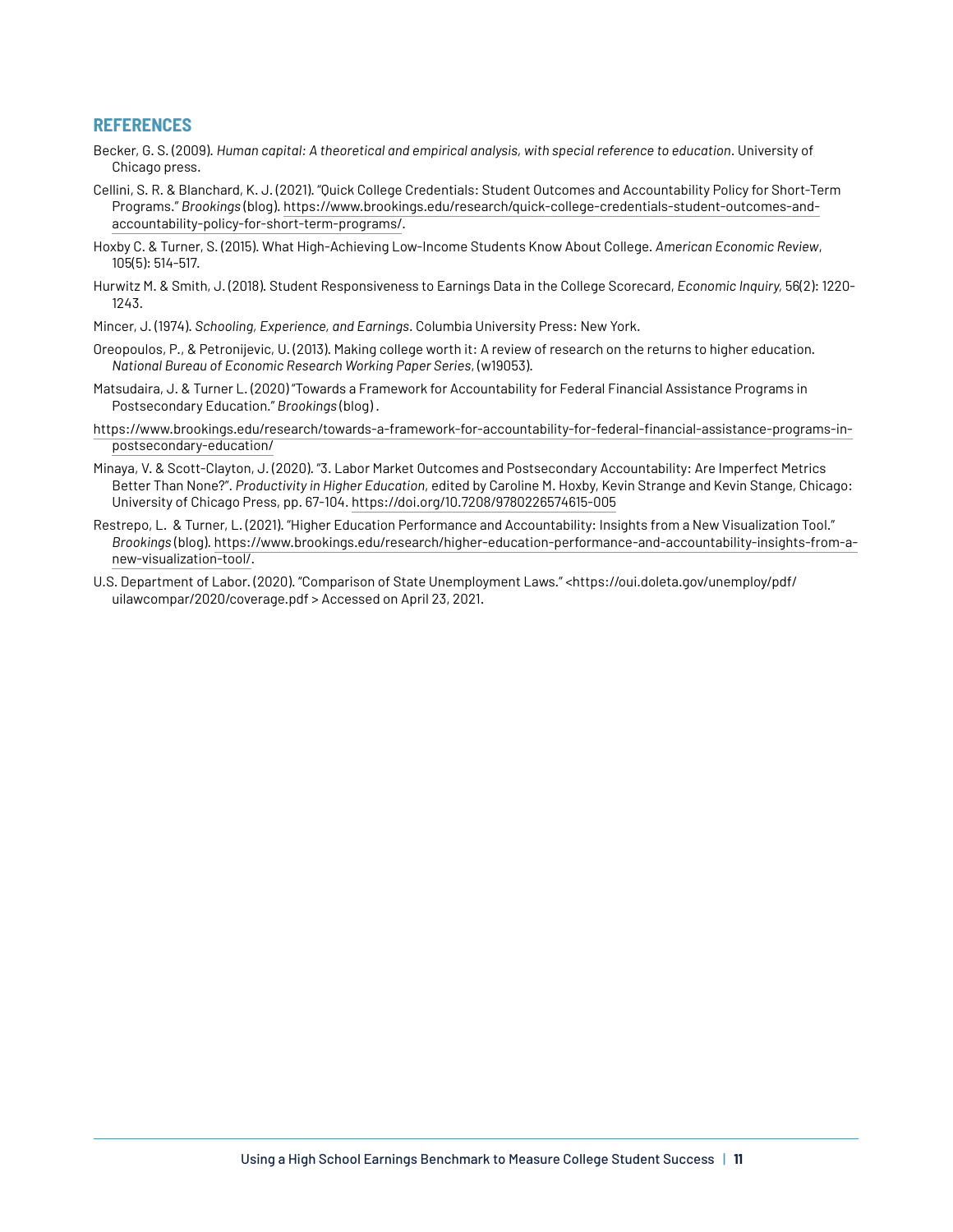### **REFERENCES**

- Becker, G. S. (2009). *Human capital: A theoretical and empirical analysis, with special reference to education*. University of Chicago press.
- Cellini, S. R. & Blanchard, K. J. (2021). "Quick College Credentials: Student Outcomes and Accountability Policy for Short-Term Programs." *Brookings* (blog). [https://www.brookings.edu/research/quick-college-credentials-student-outcomes-and](https://www.brookings.edu/research/quick-college-credentials-student-outcomes-and-accountability-policy-for-short-term-programs/)[accountability-policy-for-short-term-programs/](https://www.brookings.edu/research/quick-college-credentials-student-outcomes-and-accountability-policy-for-short-term-programs/).
- Hoxby C. & Turner, S. (2015). What High-Achieving Low-Income Students Know About College. *American Economic Review*, 105(5): 514-517.
- Hurwitz M. & Smith, J. (2018). Student Responsiveness to Earnings Data in the College Scorecard, *Economic Inquiry,* 56(2): 1220- 1243.
- Mincer, J. (1974). *Schooling, Experience, and Earnings*. Columbia University Press: New York.
- Oreopoulos, P., & Petronijevic, U. (2013). Making college worth it: A review of research on the returns to higher education. *National Bureau of Economic Research Working Paper Series*, (w19053).
- Matsudaira, J. & Turner L. (2020) "Towards a Framework for Accountability for Federal Financial Assistance Programs in Postsecondary Education." *Brookings* (blog) .
- [https://www.brookings.edu/research/towards-a-framework-for-accountability-for-federal-financial-assistance-programs-in](https://www.brookings.edu/research/towards-a-framework-for-accountability-for-federal-financial-assistance-programs-in-postsecondary-education/)[postsecondary-education/](https://www.brookings.edu/research/towards-a-framework-for-accountability-for-federal-financial-assistance-programs-in-postsecondary-education/)
- Minaya, V. & Scott-Clayton, J. (2020). "3. Labor Market Outcomes and Postsecondary Accountability: Are Imperfect Metrics Better Than None?". *Productivity in Higher Education*, edited by Caroline M. Hoxby, Kevin Strange and Kevin Stange, Chicago: University of Chicago Press, pp. 67-104.<https://doi.org/10.7208/9780226574615-005>
- Restrepo, L. & Turner, L. (2021). "Higher Education Performance and Accountability: Insights from a New Visualization Tool." *Brookings* (blog). [https://www.brookings.edu/research/higher-education-performance-and-accountability-insights-from-a](https://www.brookings.edu/research/higher-education-performance-and-accountability-insights-from-a-new-visualization-tool/)[new-visualization-tool/](https://www.brookings.edu/research/higher-education-performance-and-accountability-insights-from-a-new-visualization-tool/).
- U.S. Department of Labor. (2020). "Comparison of State Unemployment Laws." <https://oui.doleta.gov/unemploy/pdf/ uilawcompar/2020/coverage.pdf > Accessed on April 23, 2021.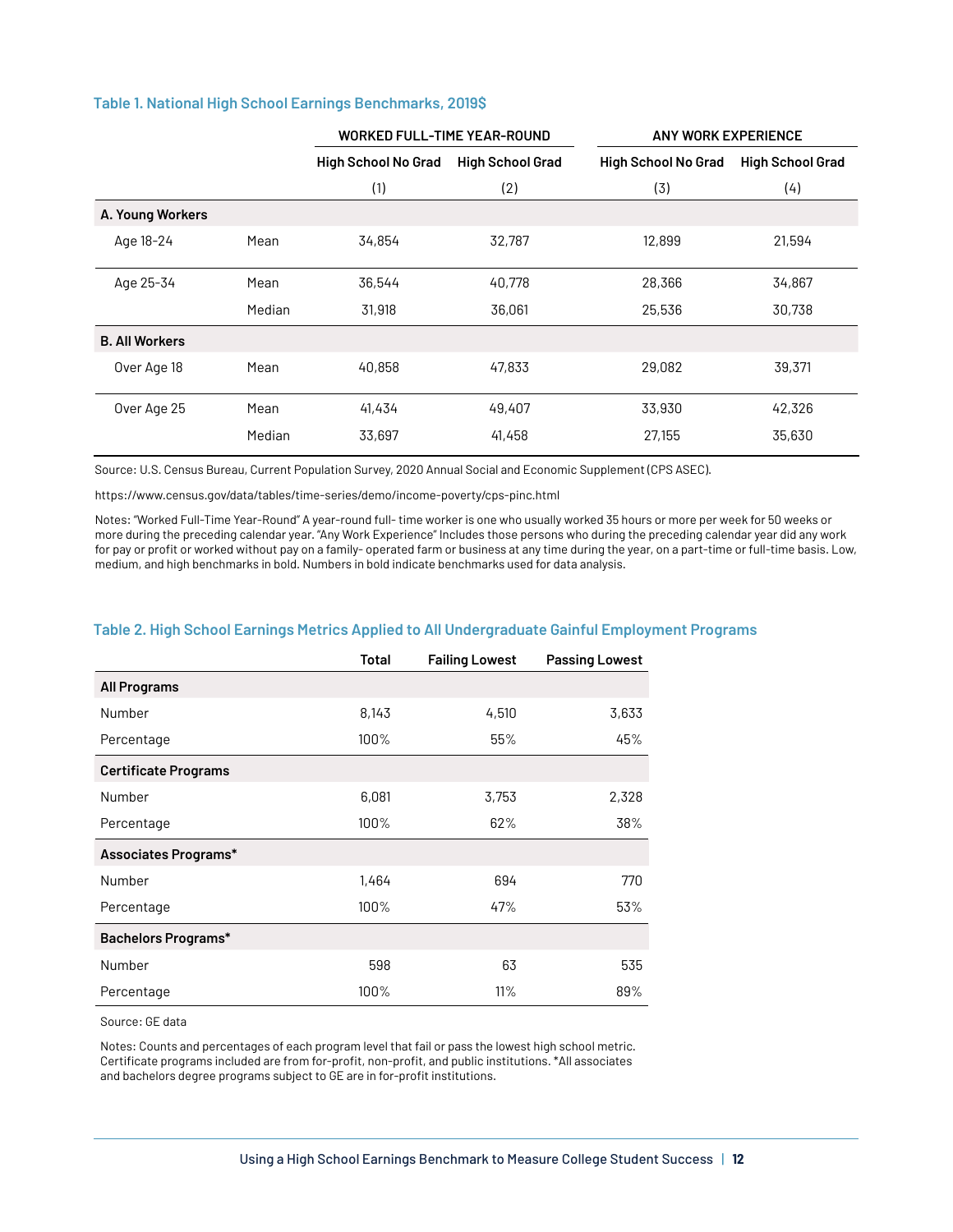#### **Table 1. National High School Earnings Benchmarks, 2019\$**

|                       |        | <b>WORKED FULL-TIME YEAR-ROUND</b> |                         | <b>ANY WORK EXPERIENCE</b> |                         |
|-----------------------|--------|------------------------------------|-------------------------|----------------------------|-------------------------|
|                       |        | <b>High School No Grad</b>         | <b>High School Grad</b> | <b>High School No Grad</b> | <b>High School Grad</b> |
|                       |        | (1)                                | (2)                     | (3)                        | (4)                     |
| A. Young Workers      |        |                                    |                         |                            |                         |
| Age 18-24             | Mean   | 34,854                             | 32,787                  | 12,899                     | 21,594                  |
| Age 25-34             | Mean   | 36,544                             | 40,778                  | 28,366                     | 34,867                  |
|                       | Median | 31,918                             | 36,061                  | 25,536                     | 30,738                  |
| <b>B. All Workers</b> |        |                                    |                         |                            |                         |
| Over Age 18           | Mean   | 40,858                             | 47,833                  | 29,082                     | 39,371                  |
| Over Age 25           | Mean   | 41,434                             | 49,407                  | 33,930                     | 42,326                  |
|                       | Median | 33,697                             | 41,458                  | 27,155                     | 35,630                  |

Source: U.S. Census Bureau, Current Population Survey, 2020 Annual Social and Economic Supplement (CPS ASEC).

<https://www.census.gov/data/tables/time-series/demo/income-poverty/cps-pinc.html>

Notes: "Worked Full-Time Year-Round" A year-round full- time worker is one who usually worked 35 hours or more per week for 50 weeks or more during the preceding calendar year. "Any Work Experience" Includes those persons who during the preceding calendar year did any work for pay or profit or worked without pay on a family- operated farm or business at any time during the year, on a part-time or full-time basis. Low, medium, and high benchmarks in bold. Numbers in bold indicate benchmarks used for data analysis.

|                             | Total | <b>Failing Lowest</b> | <b>Passing Lowest</b> |
|-----------------------------|-------|-----------------------|-----------------------|
| All Programs                |       |                       |                       |
| Number                      | 8,143 | 4,510                 | 3,633                 |
| Percentage                  | 100%  | 55%                   | 45%                   |
| <b>Certificate Programs</b> |       |                       |                       |
| Number                      | 6,081 | 3,753                 | 2,328                 |
| Percentage                  | 100%  | 62%                   | 38%                   |
| Associates Programs*        |       |                       |                       |
| Number                      | 1,464 | 694                   | 770                   |
| Percentage                  | 100%  | 47%                   | 53%                   |
| Bachelors Programs*         |       |                       |                       |
| Number                      | 598   | 63                    | 535                   |
| Percentage                  | 100%  | 11%                   | 89%                   |

#### **Table 2. High School Earnings Metrics Applied to All Undergraduate Gainful Employment Programs**

Source: GE data

Notes: Counts and percentages of each program level that fail or pass the lowest high school metric. Certificate programs included are from for-profit, non-profit, and public institutions. \*All associates and bachelors degree programs subject to GE are in for-profit institutions.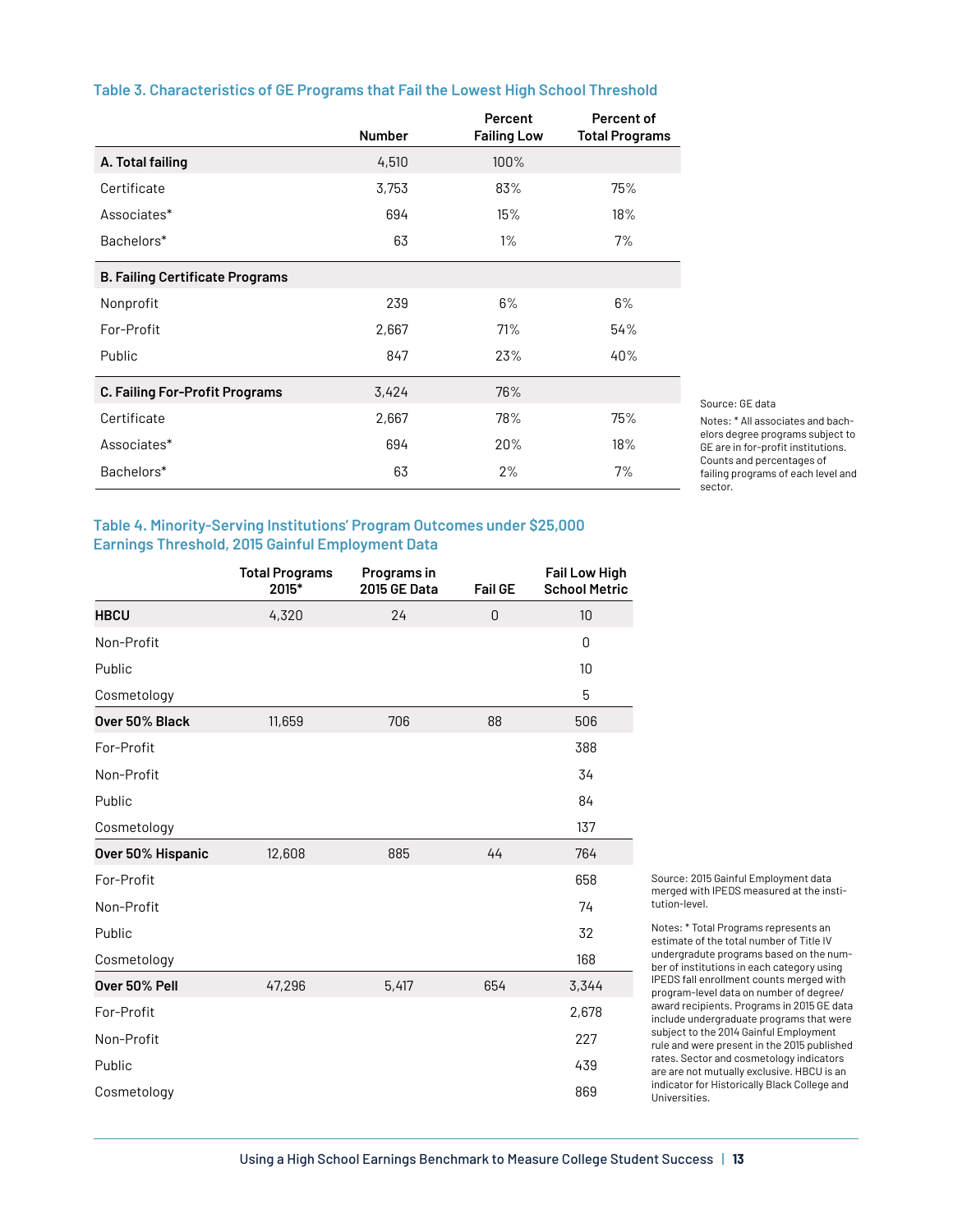#### **Table 3. Characteristics of GE Programs that Fail the Lowest High School Threshold**

|                                        | <b>Number</b> | Percent<br><b>Failing Low</b> | Percent of<br><b>Total Programs</b> |
|----------------------------------------|---------------|-------------------------------|-------------------------------------|
| A. Total failing                       | 4,510         | 100%                          |                                     |
| Certificate                            | 3,753         | 83%                           | 75%                                 |
| Associates*                            | 694           | 15%                           | 18%                                 |
| Bachelors*                             | 63            | $1\%$                         | 7%                                  |
| <b>B. Failing Certificate Programs</b> |               |                               |                                     |
| Nonprofit                              | 239           | 6%                            | 6%                                  |
| For-Profit                             | 2,667         | 71%                           | 54%                                 |
| Public                                 | 847           | 23%                           | 40%                                 |
| C. Failing For-Profit Programs         | 3,424         | 76%                           |                                     |
| Certificate                            | 2,667         | 78%                           | 75%                                 |
| Associates*                            | 694           | 20%                           | 18%                                 |
| Bachelors*                             | 63            | 2%                            | 7%                                  |

Source: GE data

Notes: \* All associates and bachelors degree programs subject to GE are in for-profit institutions. Counts and percentages of failing programs of each level and sector.

#### **Table 4. Minority-Serving Institutions' Program Outcomes under \$25,000 Earnings Threshold, 2015 Gainful Employment Data**

|                   | <b>Total Programs</b><br>2015* | Programs in<br><b>2015 GE Data</b> | <b>Fail GE</b> | <b>Fail Low High</b><br><b>School Metric</b> |
|-------------------|--------------------------------|------------------------------------|----------------|----------------------------------------------|
| <b>HBCU</b>       | 4,320                          | 24                                 | 0              | 10                                           |
| Non-Profit        |                                |                                    |                | $\mathbf 0$                                  |
| Public            |                                |                                    |                | 10                                           |
| Cosmetology       |                                |                                    |                | 5                                            |
| Over 50% Black    | 11,659                         | 706                                | 88             | 506                                          |
| For-Profit        |                                |                                    |                | 388                                          |
| Non-Profit        |                                |                                    |                | 34                                           |
| Public            |                                |                                    |                | 84                                           |
| Cosmetology       |                                |                                    |                | 137                                          |
| Over 50% Hispanic | 12,608                         | 885                                | 44             | 764                                          |
| For-Profit        |                                |                                    |                | 658                                          |
| Non-Profit        |                                |                                    |                | 74                                           |
| Public            |                                |                                    |                | 32                                           |
| Cosmetology       |                                |                                    |                | 168                                          |
| Over 50% Pell     | 47,296                         | 5,417                              | 654            | 3,344                                        |
| For-Profit        |                                |                                    |                | 2,678                                        |
| Non-Profit        |                                |                                    |                | 227                                          |
| Public            |                                |                                    |                | 439                                          |
| Cosmetology       |                                |                                    |                | 869                                          |

Source: 2015 Gainful Employment data merged with IPEDS measured at the institution-level.

Notes: \* Total Programs represents an estimate of the total number of Title IV undergradute programs based on the number of institutions in each category using IPEDS fall enrollment counts merged with program-level data on number of degree/ award recipients. Programs in 2015 GE data include undergraduate programs that were subject to the 2014 Gainful Employment rule and were present in the 2015 published rates. Sector and cosmetology indicators are are not mutually exclusive. HBCU is an indicator for Historically Black College and Universities.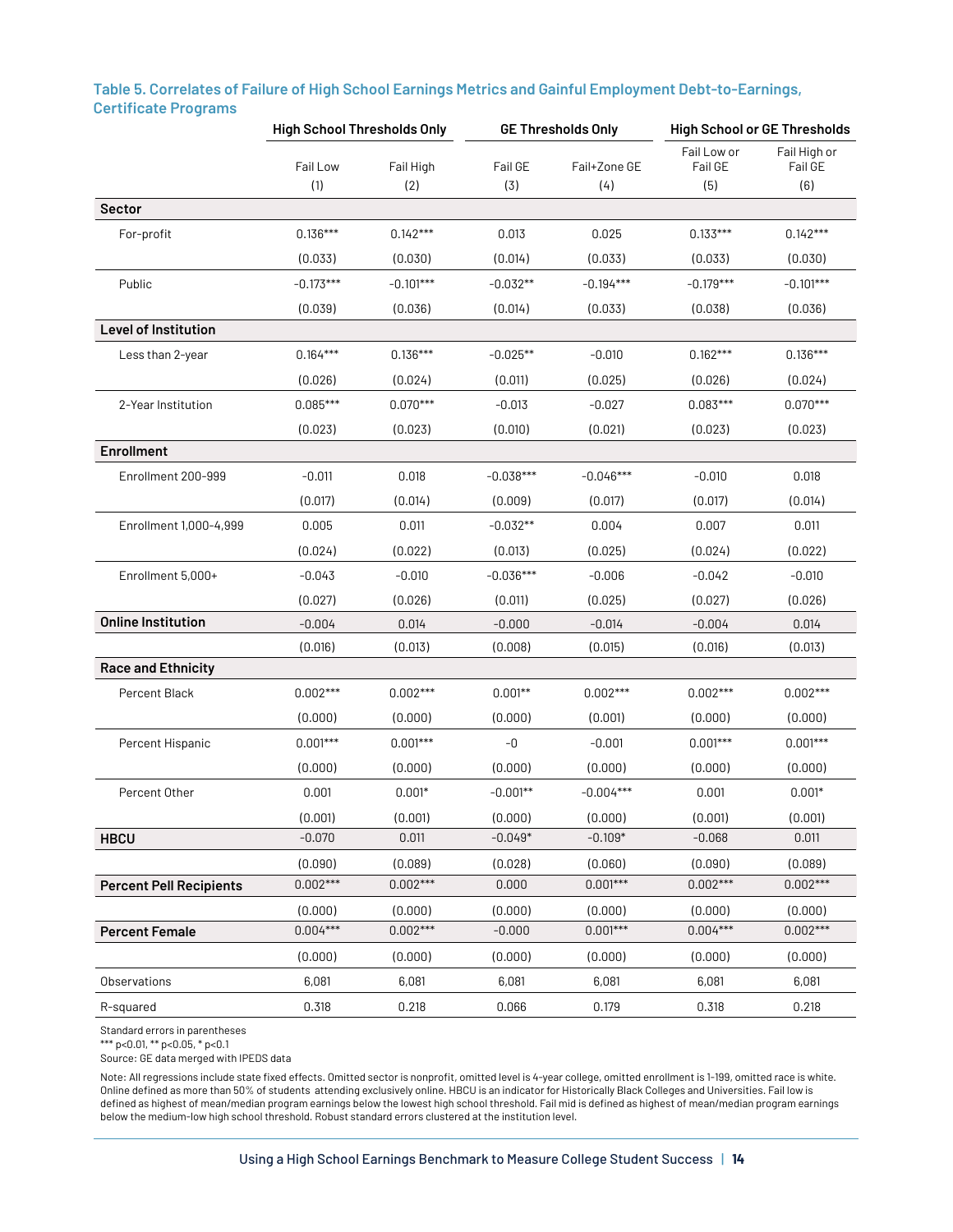|                                | <b>High School Thresholds Only</b> |                  | <b>GE Thresholds Only</b> |                     | <b>High School or GE Thresholds</b> |                                |
|--------------------------------|------------------------------------|------------------|---------------------------|---------------------|-------------------------------------|--------------------------------|
|                                | Fail Low<br>(1)                    | Fail High<br>(2) | Fail GE<br>(3)            | Fail+Zone GE<br>(4) | Fail Low or<br>Fail GE<br>(5)       | Fail High or<br>Fail GE<br>(6) |
| Sector                         |                                    |                  |                           |                     |                                     |                                |
| For-profit                     | $0.136***$                         | $0.142***$       | 0.013                     | 0.025               | $0.133***$                          | $0.142***$                     |
|                                | (0.033)                            | (0.030)          | (0.014)                   | (0.033)             | (0.033)                             | (0.030)                        |
| Public                         | $-0.173***$                        | $-0.101***$      | $-0.032**$                | $-0.194***$         | $-0.179***$                         | $-0.101***$                    |
|                                | (0.039)                            | (0.036)          | (0.014)                   | (0.033)             | (0.038)                             | (0.036)                        |
| <b>Level of Institution</b>    |                                    |                  |                           |                     |                                     |                                |
| Less than 2-year               | $0.164***$                         | $0.136***$       | $-0.025**$                | $-0.010$            | $0.162***$                          | $0.136***$                     |
|                                | (0.026)                            | (0.024)          | (0.011)                   | (0.025)             | (0.026)                             | (0.024)                        |
| 2-Year Institution             | $0.085***$                         | $0.070***$       | $-0.013$                  | $-0.027$            | $0.083***$                          | $0.070***$                     |
|                                | (0.023)                            | (0.023)          | (0.010)                   | (0.021)             | (0.023)                             | (0.023)                        |
| <b>Enrollment</b>              |                                    |                  |                           |                     |                                     |                                |
| Enrollment 200-999             | $-0.011$                           | 0.018            | $-0.038***$               | $-0.046***$         | $-0.010$                            | 0.018                          |
|                                | (0.017)                            | (0.014)          | (0.009)                   | (0.017)             | (0.017)                             | (0.014)                        |
| Enrollment 1,000-4,999         | 0.005                              | 0.011            | $-0.032**$                | 0.004               | 0.007                               | 0.011                          |
|                                | (0.024)                            | (0.022)          | (0.013)                   | (0.025)             | (0.024)                             | (0.022)                        |
| Enrollment 5,000+              | $-0.043$                           | $-0.010$         | $-0.036***$               | $-0.006$            | $-0.042$                            | $-0.010$                       |
|                                | (0.027)                            | (0.026)          | (0.011)                   | (0.025)             | (0.027)                             | (0.026)                        |
| <b>Online Institution</b>      | $-0.004$                           | 0.014            | $-0.000$                  | $-0.014$            | $-0.004$                            | 0.014                          |
|                                | (0.016)                            | (0.013)          | (0.008)                   | (0.015)             | (0.016)                             | (0.013)                        |
| <b>Race and Ethnicity</b>      |                                    |                  |                           |                     |                                     |                                |
| Percent Black                  | $0.002***$                         | $0.002***$       | $0.001**$                 | $0.002***$          | $0.002***$                          | $0.002***$                     |
|                                | (0.000)                            | (0.000)          | (0.000)                   | (0.001)             | (0.000)                             | (0.000)                        |
| Percent Hispanic               | $0.001***$                         | $0.001***$       | $-0$                      | $-0.001$            | $0.001***$                          | $0.001***$                     |
|                                | (0.000)                            | (0.000)          | (0.000)                   | (0.000)             | (0.000)                             | (0.000)                        |
| Percent Other                  | 0.001                              | $0.001*$         | $-0.001**$                | $-0.004***$         | 0.001                               | $0.001*$                       |
|                                | (0.001)                            | (0.001)          | (0.000)                   | (0.000)             | (0.001)                             | (0.001)                        |
| <b>HBCU</b>                    | $-0.070$                           | 0.011            | $-0.049*$                 | $-0.109*$           | $-0.068$                            | 0.011                          |
|                                | (0.090)                            | (0.089)          | (0.028)                   | (0.060)             | (0.090)                             | (0.089)                        |
| <b>Percent Pell Recipients</b> | $0.002***$                         | $0.002***$       | 0.000                     | $0.001***$          | $0.002***$                          | $0.002***$                     |
|                                | (0.000)                            | (0.000)          | (0.000)                   | (0.000)             | (0.000)                             | (0.000)                        |
| <b>Percent Female</b>          | $0.004***$                         | $0.002***$       | $-0.000$                  | $0.001***$          | $0.004***$                          | $0.002***$                     |
|                                | (0.000)                            | (0.000)          | (0.000)                   | (0.000)             | (0.000)                             | (0.000)                        |
| <b>Observations</b>            | 6,081                              | 6,081            | 6,081                     | 6,081               | 6,081                               | 6,081                          |
| R-squared                      | 0.318                              | 0.218            | 0.066                     | 0.179               | 0.318                               | 0.218                          |

# **Table 5. Correlates of Failure of High School Earnings Metrics and Gainful Employment Debt-to-Earnings, Certificate Programs**

Standard errors in parentheses

\*\*\* p<0.01, \*\* p<0.05, \* p<0.1

Source: GE data merged with IPEDS data

Note: All regressions include state fixed effects. Omitted sector is nonprofit, omitted level is 4-year college, omitted enrollment is 1-199, omitted race is white. Online defined as more than 50% of students attending exclusively online. HBCU is an indicator for Historically Black Colleges and Universities. Fail low is defined as highest of mean/median program earnings below the lowest high school threshold. Fail mid is defined as highest of mean/median program earnings below the medium-low high school threshold. Robust standard errors clustered at the institution level.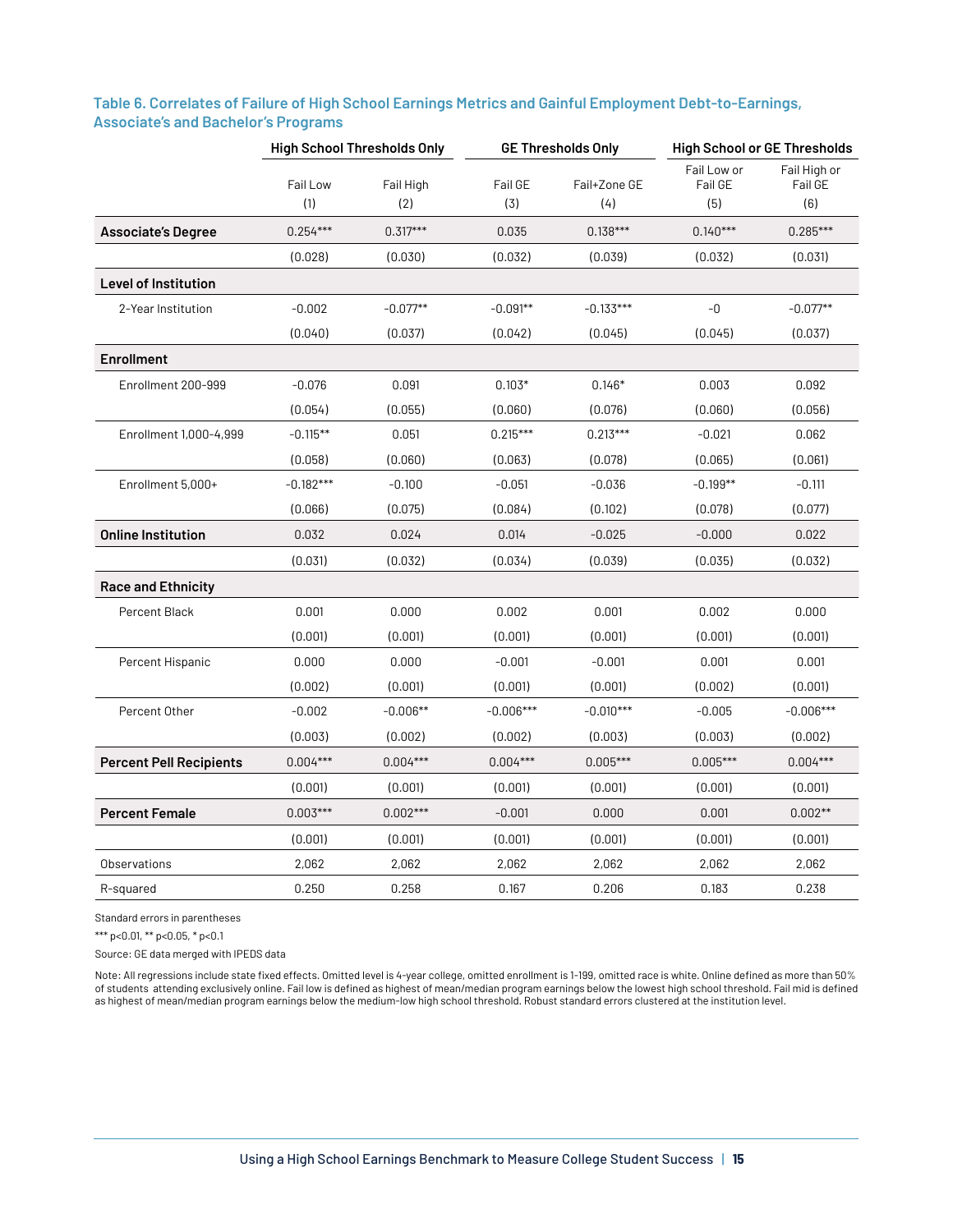|                                |                 | <b>High School Thresholds Only</b> | <b>GE Thresholds Only</b> |                     | <b>High School or GE Thresholds</b> |                                |
|--------------------------------|-----------------|------------------------------------|---------------------------|---------------------|-------------------------------------|--------------------------------|
|                                | Fail Low<br>(1) | Fail High<br>(2)                   | Fail GE<br>(3)            | Fail+Zone GE<br>(4) | Fail Low or<br>Fail GE<br>(5)       | Fail High or<br>Fail GE<br>(6) |
| <b>Associate's Degree</b>      | $0.254***$      | $0.317***$                         | 0.035                     | $0.138***$          | $0.140***$                          | $0.285***$                     |
|                                | (0.028)         | (0.030)                            | (0.032)                   | (0.039)             | (0.032)                             | (0.031)                        |
| <b>Level of Institution</b>    |                 |                                    |                           |                     |                                     |                                |
| 2-Year Institution             | $-0.002$        | $-0.077**$                         | $-0.091**$                | $-0.133***$         | $-0$                                | $-0.077**$                     |
|                                | (0.040)         | (0.037)                            | (0.042)                   | (0.045)             | (0.045)                             | (0.037)                        |
| <b>Enrollment</b>              |                 |                                    |                           |                     |                                     |                                |
| Enrollment 200-999             | $-0.076$        | 0.091                              | $0.103*$                  | $0.146*$            | 0.003                               | 0.092                          |
|                                | (0.054)         | (0.055)                            | (0.060)                   | (0.076)             | (0.060)                             | (0.056)                        |
| Enrollment 1,000-4,999         | $-0.115***$     | 0.051                              | $0.215***$                | $0.213***$          | $-0.021$                            | 0.062                          |
|                                | (0.058)         | (0.060)                            | (0.063)                   | (0.078)             | (0.065)                             | (0.061)                        |
| Enrollment 5,000+              | $-0.182***$     | $-0.100$                           | $-0.051$                  | $-0.036$            | $-0.199**$                          | $-0.111$                       |
|                                | (0.066)         | (0.075)                            | (0.084)                   | (0.102)             | (0.078)                             | (0.077)                        |
| <b>Online Institution</b>      | 0.032           | 0.024                              | 0.014                     | $-0.025$            | $-0.000$                            | 0.022                          |
|                                | (0.031)         | (0.032)                            | (0.034)                   | (0.039)             | (0.035)                             | (0.032)                        |
| <b>Race and Ethnicity</b>      |                 |                                    |                           |                     |                                     |                                |
| Percent Black                  | 0.001           | 0.000                              | 0.002                     | 0.001               | 0.002                               | 0.000                          |
|                                | (0.001)         | (0.001)                            | (0.001)                   | (0.001)             | (0.001)                             | (0.001)                        |
| Percent Hispanic               | 0.000           | 0.000                              | $-0.001$                  | $-0.001$            | 0.001                               | 0.001                          |
|                                | (0.002)         | (0.001)                            | (0.001)                   | (0.001)             | (0.002)                             | (0.001)                        |
| Percent Other                  | $-0.002$        | $-0.006**$                         | $-0.006***$               | $-0.010***$         | $-0.005$                            | $-0.006***$                    |
|                                | (0.003)         | (0.002)                            | (0.002)                   | (0.003)             | (0.003)                             | (0.002)                        |
| <b>Percent Pell Recipients</b> | $0.004***$      | $0.004***$                         | $0.004***$                | $0.005***$          | $0.005***$                          | $0.004***$                     |
|                                | (0.001)         | (0.001)                            | (0.001)                   | (0.001)             | (0.001)                             | (0.001)                        |
| <b>Percent Female</b>          | $0.003***$      | $0.002***$                         | $-0.001$                  | 0.000               | 0.001                               | $0.002**$                      |
|                                | (0.001)         | (0.001)                            | (0.001)                   | (0.001)             | (0.001)                             | (0.001)                        |
| Observations                   | 2,062           | 2,062                              | 2,062                     | 2,062               | 2,062                               | 2,062                          |
| R-squared                      | 0.250           | 0.258                              | 0.167                     | 0.206               | 0.183                               | 0.238                          |

# **Table 6. Correlates of Failure of High School Earnings Metrics and Gainful Employment Debt-to-Earnings, Associate's and Bachelor's Programs**

Standard errors in parentheses

\*\*\* p<0.01, \*\* p<0.05, \* p<0.1

Source: GE data merged with IPEDS data

Note: All regressions include state fixed effects. Omitted level is 4-year college, omitted enrollment is 1-199, omitted race is white. Online defined as more than 50% of students attending exclusively online. Fail low is defined as highest of mean/median program earnings below the lowest high school threshold. Fail mid is defined as highest of mean/median program earnings below the medium-low high school threshold. Robust standard errors clustered at the institution level.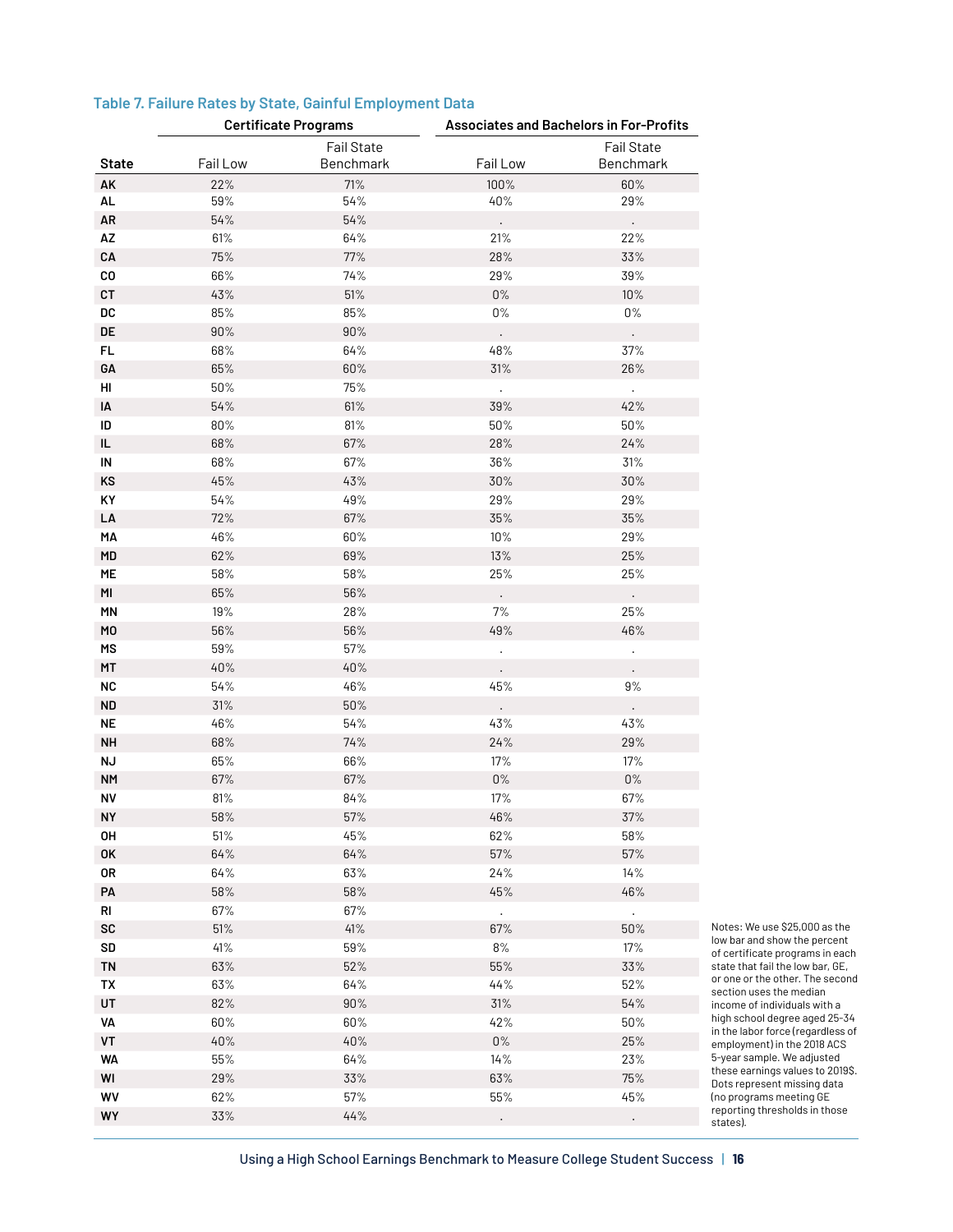| Table 7. Failure Rates by State, Gainful Employment Data |  |  |  |
|----------------------------------------------------------|--|--|--|
|                                                          |  |  |  |

| <b>Fail State</b><br><b>Fail State</b><br>Fail Low<br>Fail Low<br><b>State</b><br>Benchmark<br>AK<br>22%<br>71%<br>100%<br>60%<br>$59\%$<br>54%<br>40%<br>29%<br>AL<br>AR<br>$54\%$<br>54%<br>$\ddot{\phantom{0}}$<br>$\Box$<br>AZ<br>61%<br>64%<br>21%<br>22%<br>CA<br>75%<br>77%<br>$28\%$<br>33%<br>29%<br>39%<br>CO<br>66%<br>74%<br>$0\%$<br>CT<br>$43\%$<br>51%<br>10%<br>$\mathsf{DC}$<br>85%<br>$0\%$<br>$0\%$<br>85%<br>DE<br>$90\%$<br>$90\%$<br>$\ddot{\phantom{0}}$<br>$\Box$<br>48%<br>37%<br>FL.<br>68%<br>64%<br>$65\%$<br>$60\%$<br>31%<br>26%<br>GА<br>75%<br>HI<br>$50\%$<br>$\mathcal{L}$<br>$\Box$<br>$54\%$<br>61%<br>$39\%$<br>42%<br>IA<br>$80\%$<br>81%<br>$50\%$<br>$50\%$<br>ID<br>$68\%$<br>67%<br>$28\%$<br>24%<br>IL<br>68%<br>31%<br>IN<br>67%<br>36%<br>KS<br>$45\%$<br>43%<br>$30\%$<br>$30\%$<br>49%<br>$29\%$<br>29%<br>KY<br>$54\%$<br>72%<br>67%<br>$35\%$<br>$35\%$<br>LA<br>46%<br>29%<br>MA<br>$60\%$<br>10%<br>MD<br>$62\%$<br>69%<br>13%<br>$25\%$<br>58%<br>25%<br>25%<br>ME<br>$58\%$<br>MI<br>$65\%$<br>56%<br>$\ddot{\phantom{a}}$<br>$\Box$<br>$19\%$<br>$7\%$<br>25%<br>MN<br>28%<br>M <sub>0</sub><br>$56\%$<br>56%<br>$49\%$<br>46%<br>57%<br>MS<br>$59\%$<br>$\ddot{\phantom{0}}$<br>$40\%$<br>40%<br>MT<br>46%<br>$45\%$<br>$9\%$<br><b>NC</b><br>54%<br>31%<br>$50\%$<br><b>ND</b><br>$\ddot{\phantom{0}}$<br>$\Box$<br>54%<br><b>NE</b><br>46%<br>$43\%$<br>43%<br>$68\%$<br>74%<br>$24\%$<br>29%<br><b>NH</b><br>ΝJ<br>65%<br>66%<br>$17\%$<br>17%<br>$0\%$<br>$67\%$<br>67%<br>$0\%$<br><b>NM</b><br>81%<br>84%<br>17%<br>67%<br>NV<br>58%<br>$57\%$<br>$46\%$<br>37%<br><b>NY</b><br>OH<br>51%<br>45%<br>62%<br>58%<br>$64\%$<br>$64\%$<br>$57\%$<br>$57\%$<br>0K<br>14%<br>0R<br>$64\%$<br>63%<br>$24\%$<br>$58\%$<br>$58\%$<br>$45\%$<br>46%<br>PA<br>$67\%$<br>$67\%$<br>RI<br>$\mathcal{L}$<br>$\mathcal{L}^{\pm}$<br>$51\%$<br>41%<br>50%<br>SC<br>67%<br>SD<br>$41\%$<br>59%<br>8%<br>$17\%$<br>$63\%$<br>$52\%$<br>$55\%$<br>33%<br><b>TN</b><br>63%<br>$64\%$<br>44%<br>$52\%$<br>TX<br>$82\%$<br>$90\%$<br>31%<br>$54\%$<br>UT<br>VA<br>$60\%$<br>$60\%$<br>42%<br>$50\%$<br>$40\%$<br>$40\%$<br>$0\%$<br>25%<br>VT<br><b>WA</b><br>$55\%$<br>$64\%$<br>14%<br>23%<br>$29\%$<br>$33\%$<br>$63\%$<br>75%<br>WI |    | <b>Certificate Programs</b> |     |        | <b>Associates and Bachelors in For-Profits</b> |             |
|--------------------------------------------------------------------------------------------------------------------------------------------------------------------------------------------------------------------------------------------------------------------------------------------------------------------------------------------------------------------------------------------------------------------------------------------------------------------------------------------------------------------------------------------------------------------------------------------------------------------------------------------------------------------------------------------------------------------------------------------------------------------------------------------------------------------------------------------------------------------------------------------------------------------------------------------------------------------------------------------------------------------------------------------------------------------------------------------------------------------------------------------------------------------------------------------------------------------------------------------------------------------------------------------------------------------------------------------------------------------------------------------------------------------------------------------------------------------------------------------------------------------------------------------------------------------------------------------------------------------------------------------------------------------------------------------------------------------------------------------------------------------------------------------------------------------------------------------------------------------------------------------------------------------------------------------------------------------------------------------------------------------------------------------------------------------------------------------------------------------------------------------------------------------------------------------------------------------------------------------------------------------------------|----|-----------------------------|-----|--------|------------------------------------------------|-------------|
|                                                                                                                                                                                                                                                                                                                                                                                                                                                                                                                                                                                                                                                                                                                                                                                                                                                                                                                                                                                                                                                                                                                                                                                                                                                                                                                                                                                                                                                                                                                                                                                                                                                                                                                                                                                                                                                                                                                                                                                                                                                                                                                                                                                                                                                                                |    |                             |     |        | Benchmark                                      |             |
|                                                                                                                                                                                                                                                                                                                                                                                                                                                                                                                                                                                                                                                                                                                                                                                                                                                                                                                                                                                                                                                                                                                                                                                                                                                                                                                                                                                                                                                                                                                                                                                                                                                                                                                                                                                                                                                                                                                                                                                                                                                                                                                                                                                                                                                                                |    |                             |     |        |                                                |             |
|                                                                                                                                                                                                                                                                                                                                                                                                                                                                                                                                                                                                                                                                                                                                                                                                                                                                                                                                                                                                                                                                                                                                                                                                                                                                                                                                                                                                                                                                                                                                                                                                                                                                                                                                                                                                                                                                                                                                                                                                                                                                                                                                                                                                                                                                                |    |                             |     |        |                                                |             |
|                                                                                                                                                                                                                                                                                                                                                                                                                                                                                                                                                                                                                                                                                                                                                                                                                                                                                                                                                                                                                                                                                                                                                                                                                                                                                                                                                                                                                                                                                                                                                                                                                                                                                                                                                                                                                                                                                                                                                                                                                                                                                                                                                                                                                                                                                |    |                             |     |        |                                                |             |
|                                                                                                                                                                                                                                                                                                                                                                                                                                                                                                                                                                                                                                                                                                                                                                                                                                                                                                                                                                                                                                                                                                                                                                                                                                                                                                                                                                                                                                                                                                                                                                                                                                                                                                                                                                                                                                                                                                                                                                                                                                                                                                                                                                                                                                                                                |    |                             |     |        |                                                |             |
|                                                                                                                                                                                                                                                                                                                                                                                                                                                                                                                                                                                                                                                                                                                                                                                                                                                                                                                                                                                                                                                                                                                                                                                                                                                                                                                                                                                                                                                                                                                                                                                                                                                                                                                                                                                                                                                                                                                                                                                                                                                                                                                                                                                                                                                                                |    |                             |     |        |                                                |             |
|                                                                                                                                                                                                                                                                                                                                                                                                                                                                                                                                                                                                                                                                                                                                                                                                                                                                                                                                                                                                                                                                                                                                                                                                                                                                                                                                                                                                                                                                                                                                                                                                                                                                                                                                                                                                                                                                                                                                                                                                                                                                                                                                                                                                                                                                                |    |                             |     |        |                                                |             |
|                                                                                                                                                                                                                                                                                                                                                                                                                                                                                                                                                                                                                                                                                                                                                                                                                                                                                                                                                                                                                                                                                                                                                                                                                                                                                                                                                                                                                                                                                                                                                                                                                                                                                                                                                                                                                                                                                                                                                                                                                                                                                                                                                                                                                                                                                |    |                             |     |        |                                                |             |
|                                                                                                                                                                                                                                                                                                                                                                                                                                                                                                                                                                                                                                                                                                                                                                                                                                                                                                                                                                                                                                                                                                                                                                                                                                                                                                                                                                                                                                                                                                                                                                                                                                                                                                                                                                                                                                                                                                                                                                                                                                                                                                                                                                                                                                                                                |    |                             |     |        |                                                |             |
|                                                                                                                                                                                                                                                                                                                                                                                                                                                                                                                                                                                                                                                                                                                                                                                                                                                                                                                                                                                                                                                                                                                                                                                                                                                                                                                                                                                                                                                                                                                                                                                                                                                                                                                                                                                                                                                                                                                                                                                                                                                                                                                                                                                                                                                                                |    |                             |     |        |                                                |             |
|                                                                                                                                                                                                                                                                                                                                                                                                                                                                                                                                                                                                                                                                                                                                                                                                                                                                                                                                                                                                                                                                                                                                                                                                                                                                                                                                                                                                                                                                                                                                                                                                                                                                                                                                                                                                                                                                                                                                                                                                                                                                                                                                                                                                                                                                                |    |                             |     |        |                                                |             |
|                                                                                                                                                                                                                                                                                                                                                                                                                                                                                                                                                                                                                                                                                                                                                                                                                                                                                                                                                                                                                                                                                                                                                                                                                                                                                                                                                                                                                                                                                                                                                                                                                                                                                                                                                                                                                                                                                                                                                                                                                                                                                                                                                                                                                                                                                |    |                             |     |        |                                                |             |
|                                                                                                                                                                                                                                                                                                                                                                                                                                                                                                                                                                                                                                                                                                                                                                                                                                                                                                                                                                                                                                                                                                                                                                                                                                                                                                                                                                                                                                                                                                                                                                                                                                                                                                                                                                                                                                                                                                                                                                                                                                                                                                                                                                                                                                                                                |    |                             |     |        |                                                |             |
|                                                                                                                                                                                                                                                                                                                                                                                                                                                                                                                                                                                                                                                                                                                                                                                                                                                                                                                                                                                                                                                                                                                                                                                                                                                                                                                                                                                                                                                                                                                                                                                                                                                                                                                                                                                                                                                                                                                                                                                                                                                                                                                                                                                                                                                                                |    |                             |     |        |                                                |             |
|                                                                                                                                                                                                                                                                                                                                                                                                                                                                                                                                                                                                                                                                                                                                                                                                                                                                                                                                                                                                                                                                                                                                                                                                                                                                                                                                                                                                                                                                                                                                                                                                                                                                                                                                                                                                                                                                                                                                                                                                                                                                                                                                                                                                                                                                                |    |                             |     |        |                                                |             |
|                                                                                                                                                                                                                                                                                                                                                                                                                                                                                                                                                                                                                                                                                                                                                                                                                                                                                                                                                                                                                                                                                                                                                                                                                                                                                                                                                                                                                                                                                                                                                                                                                                                                                                                                                                                                                                                                                                                                                                                                                                                                                                                                                                                                                                                                                |    |                             |     |        |                                                |             |
|                                                                                                                                                                                                                                                                                                                                                                                                                                                                                                                                                                                                                                                                                                                                                                                                                                                                                                                                                                                                                                                                                                                                                                                                                                                                                                                                                                                                                                                                                                                                                                                                                                                                                                                                                                                                                                                                                                                                                                                                                                                                                                                                                                                                                                                                                |    |                             |     |        |                                                |             |
|                                                                                                                                                                                                                                                                                                                                                                                                                                                                                                                                                                                                                                                                                                                                                                                                                                                                                                                                                                                                                                                                                                                                                                                                                                                                                                                                                                                                                                                                                                                                                                                                                                                                                                                                                                                                                                                                                                                                                                                                                                                                                                                                                                                                                                                                                |    |                             |     |        |                                                |             |
|                                                                                                                                                                                                                                                                                                                                                                                                                                                                                                                                                                                                                                                                                                                                                                                                                                                                                                                                                                                                                                                                                                                                                                                                                                                                                                                                                                                                                                                                                                                                                                                                                                                                                                                                                                                                                                                                                                                                                                                                                                                                                                                                                                                                                                                                                |    |                             |     |        |                                                |             |
|                                                                                                                                                                                                                                                                                                                                                                                                                                                                                                                                                                                                                                                                                                                                                                                                                                                                                                                                                                                                                                                                                                                                                                                                                                                                                                                                                                                                                                                                                                                                                                                                                                                                                                                                                                                                                                                                                                                                                                                                                                                                                                                                                                                                                                                                                |    |                             |     |        |                                                |             |
|                                                                                                                                                                                                                                                                                                                                                                                                                                                                                                                                                                                                                                                                                                                                                                                                                                                                                                                                                                                                                                                                                                                                                                                                                                                                                                                                                                                                                                                                                                                                                                                                                                                                                                                                                                                                                                                                                                                                                                                                                                                                                                                                                                                                                                                                                |    |                             |     |        |                                                |             |
|                                                                                                                                                                                                                                                                                                                                                                                                                                                                                                                                                                                                                                                                                                                                                                                                                                                                                                                                                                                                                                                                                                                                                                                                                                                                                                                                                                                                                                                                                                                                                                                                                                                                                                                                                                                                                                                                                                                                                                                                                                                                                                                                                                                                                                                                                |    |                             |     |        |                                                |             |
|                                                                                                                                                                                                                                                                                                                                                                                                                                                                                                                                                                                                                                                                                                                                                                                                                                                                                                                                                                                                                                                                                                                                                                                                                                                                                                                                                                                                                                                                                                                                                                                                                                                                                                                                                                                                                                                                                                                                                                                                                                                                                                                                                                                                                                                                                |    |                             |     |        |                                                |             |
|                                                                                                                                                                                                                                                                                                                                                                                                                                                                                                                                                                                                                                                                                                                                                                                                                                                                                                                                                                                                                                                                                                                                                                                                                                                                                                                                                                                                                                                                                                                                                                                                                                                                                                                                                                                                                                                                                                                                                                                                                                                                                                                                                                                                                                                                                |    |                             |     |        |                                                |             |
|                                                                                                                                                                                                                                                                                                                                                                                                                                                                                                                                                                                                                                                                                                                                                                                                                                                                                                                                                                                                                                                                                                                                                                                                                                                                                                                                                                                                                                                                                                                                                                                                                                                                                                                                                                                                                                                                                                                                                                                                                                                                                                                                                                                                                                                                                |    |                             |     |        |                                                |             |
|                                                                                                                                                                                                                                                                                                                                                                                                                                                                                                                                                                                                                                                                                                                                                                                                                                                                                                                                                                                                                                                                                                                                                                                                                                                                                                                                                                                                                                                                                                                                                                                                                                                                                                                                                                                                                                                                                                                                                                                                                                                                                                                                                                                                                                                                                |    |                             |     |        |                                                |             |
|                                                                                                                                                                                                                                                                                                                                                                                                                                                                                                                                                                                                                                                                                                                                                                                                                                                                                                                                                                                                                                                                                                                                                                                                                                                                                                                                                                                                                                                                                                                                                                                                                                                                                                                                                                                                                                                                                                                                                                                                                                                                                                                                                                                                                                                                                |    |                             |     |        |                                                |             |
|                                                                                                                                                                                                                                                                                                                                                                                                                                                                                                                                                                                                                                                                                                                                                                                                                                                                                                                                                                                                                                                                                                                                                                                                                                                                                                                                                                                                                                                                                                                                                                                                                                                                                                                                                                                                                                                                                                                                                                                                                                                                                                                                                                                                                                                                                |    |                             |     |        |                                                |             |
|                                                                                                                                                                                                                                                                                                                                                                                                                                                                                                                                                                                                                                                                                                                                                                                                                                                                                                                                                                                                                                                                                                                                                                                                                                                                                                                                                                                                                                                                                                                                                                                                                                                                                                                                                                                                                                                                                                                                                                                                                                                                                                                                                                                                                                                                                |    |                             |     |        |                                                |             |
|                                                                                                                                                                                                                                                                                                                                                                                                                                                                                                                                                                                                                                                                                                                                                                                                                                                                                                                                                                                                                                                                                                                                                                                                                                                                                                                                                                                                                                                                                                                                                                                                                                                                                                                                                                                                                                                                                                                                                                                                                                                                                                                                                                                                                                                                                |    |                             |     |        |                                                |             |
|                                                                                                                                                                                                                                                                                                                                                                                                                                                                                                                                                                                                                                                                                                                                                                                                                                                                                                                                                                                                                                                                                                                                                                                                                                                                                                                                                                                                                                                                                                                                                                                                                                                                                                                                                                                                                                                                                                                                                                                                                                                                                                                                                                                                                                                                                |    |                             |     |        |                                                |             |
|                                                                                                                                                                                                                                                                                                                                                                                                                                                                                                                                                                                                                                                                                                                                                                                                                                                                                                                                                                                                                                                                                                                                                                                                                                                                                                                                                                                                                                                                                                                                                                                                                                                                                                                                                                                                                                                                                                                                                                                                                                                                                                                                                                                                                                                                                |    |                             |     |        |                                                |             |
|                                                                                                                                                                                                                                                                                                                                                                                                                                                                                                                                                                                                                                                                                                                                                                                                                                                                                                                                                                                                                                                                                                                                                                                                                                                                                                                                                                                                                                                                                                                                                                                                                                                                                                                                                                                                                                                                                                                                                                                                                                                                                                                                                                                                                                                                                |    |                             |     |        |                                                |             |
|                                                                                                                                                                                                                                                                                                                                                                                                                                                                                                                                                                                                                                                                                                                                                                                                                                                                                                                                                                                                                                                                                                                                                                                                                                                                                                                                                                                                                                                                                                                                                                                                                                                                                                                                                                                                                                                                                                                                                                                                                                                                                                                                                                                                                                                                                |    |                             |     |        |                                                |             |
|                                                                                                                                                                                                                                                                                                                                                                                                                                                                                                                                                                                                                                                                                                                                                                                                                                                                                                                                                                                                                                                                                                                                                                                                                                                                                                                                                                                                                                                                                                                                                                                                                                                                                                                                                                                                                                                                                                                                                                                                                                                                                                                                                                                                                                                                                |    |                             |     |        |                                                |             |
|                                                                                                                                                                                                                                                                                                                                                                                                                                                                                                                                                                                                                                                                                                                                                                                                                                                                                                                                                                                                                                                                                                                                                                                                                                                                                                                                                                                                                                                                                                                                                                                                                                                                                                                                                                                                                                                                                                                                                                                                                                                                                                                                                                                                                                                                                |    |                             |     |        |                                                |             |
|                                                                                                                                                                                                                                                                                                                                                                                                                                                                                                                                                                                                                                                                                                                                                                                                                                                                                                                                                                                                                                                                                                                                                                                                                                                                                                                                                                                                                                                                                                                                                                                                                                                                                                                                                                                                                                                                                                                                                                                                                                                                                                                                                                                                                                                                                |    |                             |     |        |                                                |             |
|                                                                                                                                                                                                                                                                                                                                                                                                                                                                                                                                                                                                                                                                                                                                                                                                                                                                                                                                                                                                                                                                                                                                                                                                                                                                                                                                                                                                                                                                                                                                                                                                                                                                                                                                                                                                                                                                                                                                                                                                                                                                                                                                                                                                                                                                                |    |                             |     |        |                                                |             |
|                                                                                                                                                                                                                                                                                                                                                                                                                                                                                                                                                                                                                                                                                                                                                                                                                                                                                                                                                                                                                                                                                                                                                                                                                                                                                                                                                                                                                                                                                                                                                                                                                                                                                                                                                                                                                                                                                                                                                                                                                                                                                                                                                                                                                                                                                |    |                             |     |        |                                                |             |
|                                                                                                                                                                                                                                                                                                                                                                                                                                                                                                                                                                                                                                                                                                                                                                                                                                                                                                                                                                                                                                                                                                                                                                                                                                                                                                                                                                                                                                                                                                                                                                                                                                                                                                                                                                                                                                                                                                                                                                                                                                                                                                                                                                                                                                                                                |    |                             |     |        |                                                |             |
|                                                                                                                                                                                                                                                                                                                                                                                                                                                                                                                                                                                                                                                                                                                                                                                                                                                                                                                                                                                                                                                                                                                                                                                                                                                                                                                                                                                                                                                                                                                                                                                                                                                                                                                                                                                                                                                                                                                                                                                                                                                                                                                                                                                                                                                                                |    |                             |     |        |                                                |             |
|                                                                                                                                                                                                                                                                                                                                                                                                                                                                                                                                                                                                                                                                                                                                                                                                                                                                                                                                                                                                                                                                                                                                                                                                                                                                                                                                                                                                                                                                                                                                                                                                                                                                                                                                                                                                                                                                                                                                                                                                                                                                                                                                                                                                                                                                                |    |                             |     |        |                                                |             |
|                                                                                                                                                                                                                                                                                                                                                                                                                                                                                                                                                                                                                                                                                                                                                                                                                                                                                                                                                                                                                                                                                                                                                                                                                                                                                                                                                                                                                                                                                                                                                                                                                                                                                                                                                                                                                                                                                                                                                                                                                                                                                                                                                                                                                                                                                |    |                             |     |        |                                                | Not<br>low  |
|                                                                                                                                                                                                                                                                                                                                                                                                                                                                                                                                                                                                                                                                                                                                                                                                                                                                                                                                                                                                                                                                                                                                                                                                                                                                                                                                                                                                                                                                                                                                                                                                                                                                                                                                                                                                                                                                                                                                                                                                                                                                                                                                                                                                                                                                                |    |                             |     |        |                                                | of c        |
|                                                                                                                                                                                                                                                                                                                                                                                                                                                                                                                                                                                                                                                                                                                                                                                                                                                                                                                                                                                                                                                                                                                                                                                                                                                                                                                                                                                                                                                                                                                                                                                                                                                                                                                                                                                                                                                                                                                                                                                                                                                                                                                                                                                                                                                                                |    |                             |     |        |                                                | sta         |
|                                                                                                                                                                                                                                                                                                                                                                                                                                                                                                                                                                                                                                                                                                                                                                                                                                                                                                                                                                                                                                                                                                                                                                                                                                                                                                                                                                                                                                                                                                                                                                                                                                                                                                                                                                                                                                                                                                                                                                                                                                                                                                                                                                                                                                                                                |    |                             |     |        |                                                | or c<br>sec |
|                                                                                                                                                                                                                                                                                                                                                                                                                                                                                                                                                                                                                                                                                                                                                                                                                                                                                                                                                                                                                                                                                                                                                                                                                                                                                                                                                                                                                                                                                                                                                                                                                                                                                                                                                                                                                                                                                                                                                                                                                                                                                                                                                                                                                                                                                |    |                             |     |        |                                                | inc         |
|                                                                                                                                                                                                                                                                                                                                                                                                                                                                                                                                                                                                                                                                                                                                                                                                                                                                                                                                                                                                                                                                                                                                                                                                                                                                                                                                                                                                                                                                                                                                                                                                                                                                                                                                                                                                                                                                                                                                                                                                                                                                                                                                                                                                                                                                                |    |                             |     |        |                                                | hig<br>in t |
|                                                                                                                                                                                                                                                                                                                                                                                                                                                                                                                                                                                                                                                                                                                                                                                                                                                                                                                                                                                                                                                                                                                                                                                                                                                                                                                                                                                                                                                                                                                                                                                                                                                                                                                                                                                                                                                                                                                                                                                                                                                                                                                                                                                                                                                                                |    |                             |     |        |                                                | em          |
|                                                                                                                                                                                                                                                                                                                                                                                                                                                                                                                                                                                                                                                                                                                                                                                                                                                                                                                                                                                                                                                                                                                                                                                                                                                                                                                                                                                                                                                                                                                                                                                                                                                                                                                                                                                                                                                                                                                                                                                                                                                                                                                                                                                                                                                                                |    |                             |     |        |                                                | $5-y$       |
|                                                                                                                                                                                                                                                                                                                                                                                                                                                                                                                                                                                                                                                                                                                                                                                                                                                                                                                                                                                                                                                                                                                                                                                                                                                                                                                                                                                                                                                                                                                                                                                                                                                                                                                                                                                                                                                                                                                                                                                                                                                                                                                                                                                                                                                                                |    |                             |     |        |                                                | the<br>Dot  |
|                                                                                                                                                                                                                                                                                                                                                                                                                                                                                                                                                                                                                                                                                                                                                                                                                                                                                                                                                                                                                                                                                                                                                                                                                                                                                                                                                                                                                                                                                                                                                                                                                                                                                                                                                                                                                                                                                                                                                                                                                                                                                                                                                                                                                                                                                | WV | 62%                         | 57% | $55\%$ | 45%                                            | (no         |
| 44%<br>WY<br>33%<br>$\ddot{\phantom{0}}$<br>$\bullet$                                                                                                                                                                                                                                                                                                                                                                                                                                                                                                                                                                                                                                                                                                                                                                                                                                                                                                                                                                                                                                                                                                                                                                                                                                                                                                                                                                                                                                                                                                                                                                                                                                                                                                                                                                                                                                                                                                                                                                                                                                                                                                                                                                                                                          |    |                             |     |        |                                                | rep<br>sta  |

tes: We use \$25,000 as the bar and show the percent certificate programs in each state that fail the low bar, GE, one or the other. The second ction uses the median ome of individuals with a h school degree aged 25-34 he labor force (regardless of employment) in the 2018 ACS ear sample. We adjusted  $\mathop{\mathsf{e}}\nolimits$  earnings values to 2019\$. ts represent missing data  $\overline{\phantom{a}}$  programs meeting  $\overline{\phantom{a}}$  GE  $\frac{1}{2}$  orting thresholds in those ites).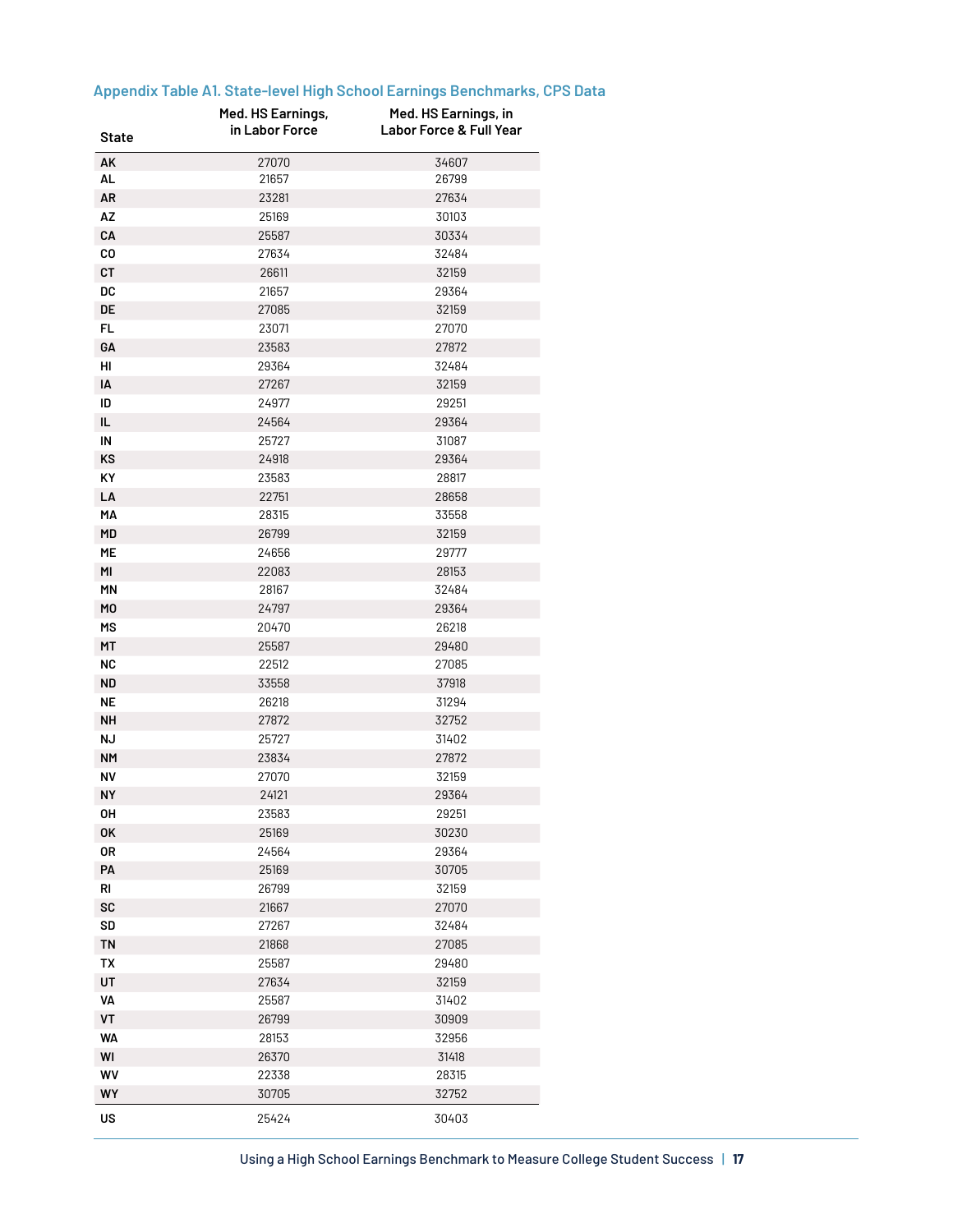| State     | Med. HS Earnings,<br>in Labor Force | Med. HS Earnings, in<br><b>Labor Force &amp; Full Year</b> |
|-----------|-------------------------------------|------------------------------------------------------------|
|           |                                     |                                                            |
| AK        | 27070                               | 34607                                                      |
| AL        | 21657                               | 26799                                                      |
| AR        | 23281                               | 27634                                                      |
| AZ        | 25169                               | 30103                                                      |
| CA        | 25587                               | 30334                                                      |
| CO        | 27634                               | 32484                                                      |
| СT        | 26611                               | 32159                                                      |
| DC        | 21657                               | 29364                                                      |
| DE        | 27085                               | 32159                                                      |
| FL.       | 23071                               | 27070                                                      |
| GА        | 23583                               | 27872                                                      |
| HI        | 29364                               | 32484                                                      |
| IA        | 27267                               | 32159                                                      |
| ID        | 24977                               | 29251                                                      |
| IL.       | 24564                               | 29364                                                      |
| IN        | 25727                               | 31087                                                      |
| ΚS        | 24918                               | 29364                                                      |
| ΚY        | 23583                               | 28817                                                      |
| LA        | 22751                               | 28658                                                      |
| MА        | 28315                               | 33558                                                      |
| MD        | 26799                               | 32159                                                      |
| МE        | 24656                               | 29777                                                      |
| MI        | 22083                               | 28153                                                      |
| <b>MN</b> | 28167                               | 32484                                                      |
| MO        | 24797                               | 29364                                                      |
| МS        | 20470                               | 26218                                                      |
| МT        | 25587                               | 29480                                                      |
| <b>NC</b> | 22512                               | 27085                                                      |
| ND        | 33558                               | 37918                                                      |
| ΝE        | 26218                               | 31294                                                      |
| NΗ        | 27872                               | 32752                                                      |
| <b>NJ</b> | 25727                               | 31402                                                      |
| <b>NM</b> | 23834                               | 27872                                                      |
| <b>NV</b> | 27070                               | 32159                                                      |
| NΥ        | 24121                               | 29364                                                      |
| OΗ        | 23583                               | 29251                                                      |
| 0K        | 25169                               | 30230                                                      |
| 0R        | 24564                               | 29364                                                      |
|           | 25169                               |                                                            |
| PA        |                                     | 30705                                                      |
| RI        | 26799                               | 32159                                                      |
| SC        | 21667                               | 27070                                                      |
| SD        | 27267                               | 32484                                                      |
| TN        | 21868                               | 27085                                                      |
| <b>TX</b> | 25587                               | 29480                                                      |
| UT        | 27634                               | 32159                                                      |
| VA        | 25587                               | 31402                                                      |
| VT        | 26799                               | 30909                                                      |
| <b>WA</b> | 28153                               | 32956                                                      |
| WI        | 26370                               | 31418                                                      |
| WV        | 22338                               | 28315                                                      |
| WY        | 30705                               | 32752                                                      |
| US        | 25424                               | 30403                                                      |

# **Appendix Table A1. State-level High School Earnings Benchmarks, CPS Data**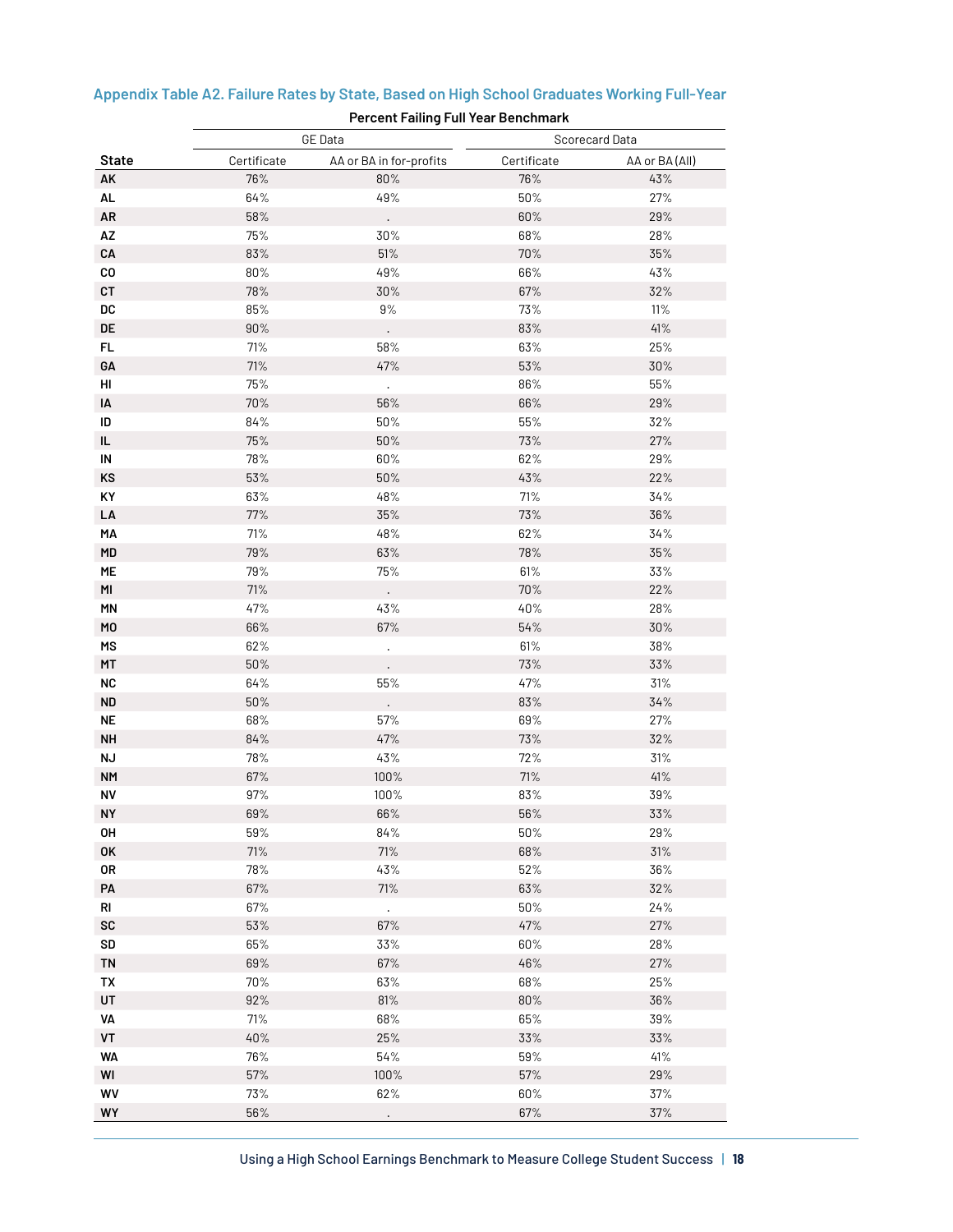|                | <b>Percent Failing Full Year Benchmark</b> |                         |             |                |  |
|----------------|--------------------------------------------|-------------------------|-------------|----------------|--|
|                |                                            | <b>GE</b> Data          |             | Scorecard Data |  |
| <b>State</b>   | Certificate                                | AA or BA in for-profits | Certificate | AA or BA (All) |  |
| AK             | 76%                                        | 80%                     | 76%         | 43%            |  |
| AL             | 64%                                        | 49%                     | 50%         | 27%            |  |
| AR             | 58%                                        |                         | 60%         | 29%            |  |
| AZ             | 75%                                        | 30%                     | 68%         | 28%            |  |
| CA             | 83%                                        | $51\%$                  | 70%         | $35\%$         |  |
| $_{\rm CO}$    | $80\%$                                     | 49%                     | 66%         | 43%            |  |
| CT             | 78%                                        | $30\%$                  | 67%         | 32%            |  |
| DC             | $85\%$                                     | $9\%$                   | $73\%$      | 11%            |  |
| DE             | $90\%$                                     |                         | 83%         | 41%            |  |
| FL             | 71%                                        | 58%                     | 63%         | 25%            |  |
| GA             | $71%$                                      | 47%                     | 53%         | $30\%$         |  |
| HI             | 75%                                        | $\ddot{\phantom{0}}$    | 86%         | 55%            |  |
| IA             | 70%                                        | 56%                     | 66%         | 29%            |  |
| ID             | 84%                                        | $50\%$                  | $55\%$      | 32%            |  |
| IL.            | 75%                                        | $50\%$                  | 73%         | $27%$          |  |
| IN             | 78%                                        | 60%                     | 62%         | 29%            |  |
| KS             | 53%                                        | $50\%$                  | 43%         | 22%            |  |
| KY             | 63%                                        | 48%                     | $71\%$      | 34%            |  |
| LA             | 77%                                        | $35\%$                  | 73%         | 36%            |  |
| MA             | 71%                                        | 48%                     | 62%         | 34%            |  |
| MD             | 79%                                        | 63%                     | 78%         | $35\%$         |  |
| ME             | 79%                                        | $75\%$                  | 61%         | 33%            |  |
| MI             | $71%$                                      |                         | 70%         | 22%            |  |
| <b>MN</b>      | 47%                                        | 43%                     | 40%         | 28%            |  |
| M <sub>0</sub> | 66%                                        | 67%                     | $54\%$      | $30\%$         |  |
| MS             | 62%                                        | $\Box$                  | 61%         | 38%            |  |
| MT             | $50\%$                                     |                         | 73%         | 33%            |  |
| <b>NC</b>      | 64%                                        | 55%                     | 47%         | 31%            |  |
| <b>ND</b>      | $50\%$                                     |                         | 83%         | $34\%$         |  |
| <b>NE</b>      | 68%                                        | 57%                     | 69%         | 27%            |  |
| <b>NH</b>      | 84%                                        | 47%                     | 73%         | 32%            |  |
| <b>NJ</b>      | 78%                                        | 43%                     | $72\%$      | 31%            |  |
| <b>NM</b>      | 67%                                        | 100%                    | 71%         | 41%            |  |
| NV             | 97%                                        | 100%                    | 83%         | 39%            |  |
| <b>NY</b>      | 69%                                        | 66%                     | 56%         | 33%            |  |
| OH             | 59%                                        | 84%                     | 50%         | 29%            |  |
| 0K             | $71\%$                                     | 71%                     | 68%         | 31%            |  |
| 0R             | 78%                                        | 43%                     | 52%         | 36%            |  |
| PA             | $67\%$                                     | $71\%$                  | 63%         | $32\%$         |  |
| RI             | 67%                                        | ¥.                      | 50%         | 24%            |  |
| SC             | $53\%$                                     | 67%                     | 47%         | $27\%$         |  |
| <b>SD</b>      | 65%                                        | 33%                     | 60%         | 28%            |  |
| <b>TN</b>      | 69%                                        | 67%                     | 46%         | $27\%$         |  |
| TX             | 70%                                        | 63%                     | 68%         | 25%            |  |
| UT             | $92\%$                                     | 81%                     | $80\%$      | $36\%$         |  |
| VA             | 71%                                        | 68%                     | 65%         | 39%            |  |
| VT             | 40%                                        | 25%                     | 33%         | $33\%$         |  |
| <b>WA</b>      | 76%                                        | 54%                     | 59%         | 41%            |  |
| WI             | $57\%$                                     | 100%                    | $57\%$      | $29\%$         |  |
| WV             | $73\%$                                     | 62%                     | 60%         | 37%            |  |
| WY             | $56\%$                                     | $\Box$                  | 67%         | $37\%$         |  |

# **Appendix Table A2. Failure Rates by State, Based on High School Graduates Working Full-Year**